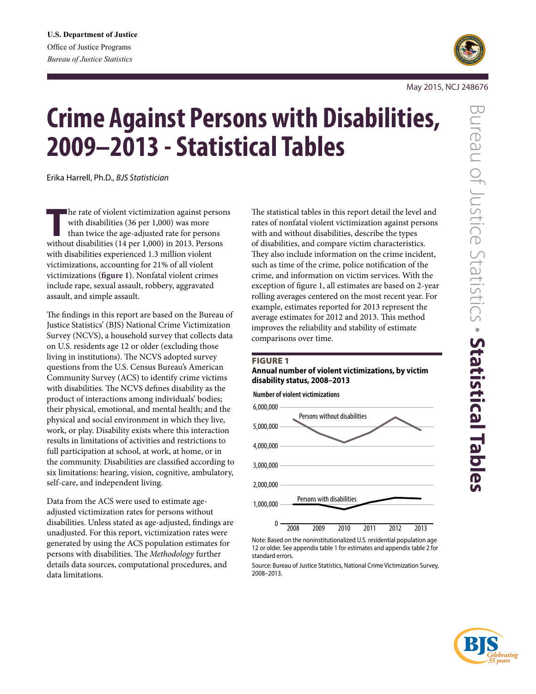

# **Crime Against Persons with Disabilities, 2009–2013 - Statistical Tables**

Erika Harrell, Ph.D., *BJS Statistician*

**T**he rate of violent victimization against persons with disabilities (36 per 1,000) was more than twice the age-adjusted rate for persons without disabilities (14 per 1,000) in 2013. Persons with disabilities experienced 1.3 million violent victimizations, accounting for 21% of all violent victimizations **(figure 1)**. Nonfatal violent crimes include rape, sexual assault, robbery, aggravated assault, and simple assault.

The findings in this report are based on the Bureau of Justice Statistics' (BJS) National Crime Victimization Survey (NCVS), a household survey that collects data on U.S. residents age 12 or older (excluding those living in institutions). The NCVS adopted survey questions from the U.S. Census Bureau's American Community Survey (ACS) to identify crime victims with disabilities. The NCVS defines disability as the product of interactions among individuals' bodies; their physical, emotional, and mental health; and the physical and social environment in which they live, work, or play. Disability exists where this interaction results in limitations of activities and restrictions to full participation at school, at work, at home, or in the community. Disabilities are classified according to six limitations: hearing, vision, cognitive, ambulatory, self-care, and independent living.

Data from the ACS were used to estimate ageadjusted victimization rates for persons without disabilities. Unless stated as age-adjusted, findings are unadjusted. For this report, victimization rates were generated by using the ACS population estimates for persons with disabilities. The *Methodology* further details data sources, computational procedures, and data limitations.

The statistical tables in this report detail the level and rates of nonfatal violent victimization against persons with and without disabilities, describe the types of disabilities, and compare victim characteristics. They also include information on the crime incident, such as time of the crime, police notification of the crime, and information on victim services. With the exception of figure 1, all estimates are based on 2-year rolling averages centered on the most recent year. For example, estimates reported for 2013 represent the average estimates for 2012 and 2013. This method improves the reliability and stability of estimate comparisons over time.

#### **FIGURE 1**

#### **Annual number of violent victimizations, by victim disability status, 2008–2013**



Note: Based on the noninstitutionalized U.S. residential population age 12 or older. See appendix table 1 for estimates and appendix table 2 for standard errors.



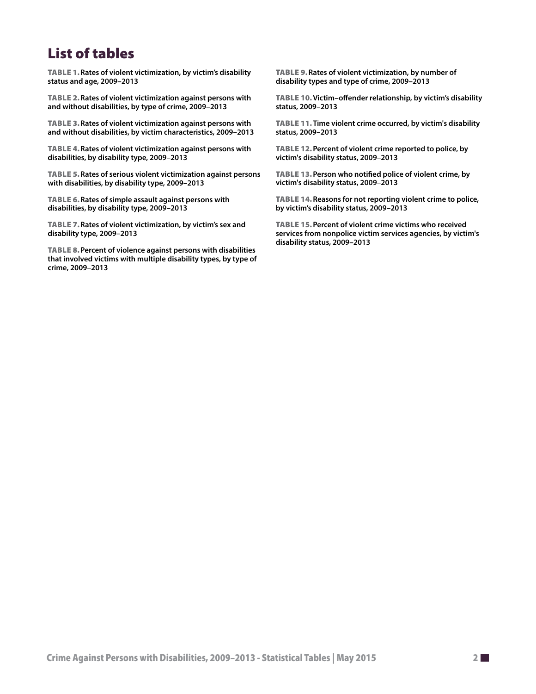# List of tables

Table 1.**Rates of violent victimization, by victim's disability status and age, 2009–2013**

Table 2.**[Rates of violent victimization against persons with](#page-4-0)  [and without disabilities, by type of crime, 2009–2013](#page-4-0)** 

Table 3.**[Rates of violent victimization against persons with](#page-5-0)  [and without disabilities, by victim characteristics, 2009–2013](#page-5-0)**

Table 4.**[Rates of violent victimization against persons with](#page-6-0)  [disabilities, by disability type, 2009–2013](#page-6-0)**

Table 5.**[Rates of serious violent victimization against persons](#page-6-0)  [with disabilities, by disability type, 2009–2013](#page-6-0)**

Table 6.**[Rates of simple assault against persons with](#page-6-0)  [disabilities, by disability type, 2009–2013](#page-6-0)**

Table 7.**[Rates of violent victimization, by victim's sex and](#page-6-0)  [disability type, 2009–2013](#page-6-0)**

Table 8.**[Percent of violence against persons with disabilities](#page-7-0)  [that involved victims with multiple disability types, by type of](#page-7-0)  [crime, 2009–2013](#page-7-0)**

Table 9.**R[ates of violent victimization, by number of](#page-7-0)  [disability types and type of crime, 2009–2013](#page-7-0)**

Table 10.**[Victim–offender relationship, by victim's disability](#page-8-0)  [status, 2009–2013](#page-8-0)**

Table 11.**[Time violent crime occurred, by victim's disability](#page-8-0)  [status, 2009–2013](#page-8-0)**

Table 12.**[Percent of violent crime reported to police, by](#page-9-0)  [victim's disability status, 2009–2013](#page-9-0)**

Table 13.**[Person who notified police of violent crime, by](#page-9-0)  [victim's disability status, 2009–2013](#page-9-0)**

Table 14.**[Reasons for not reporting violent crime to police,](#page-10-0)  [by victim's disability status, 2009–2013](#page-10-0)**

Table 15.**[Percent of violent crime victims who received](#page-10-0)  [services from nonpolice victim services agencies, by victim's](#page-10-0)  [disability status, 2009–2013](#page-10-0)**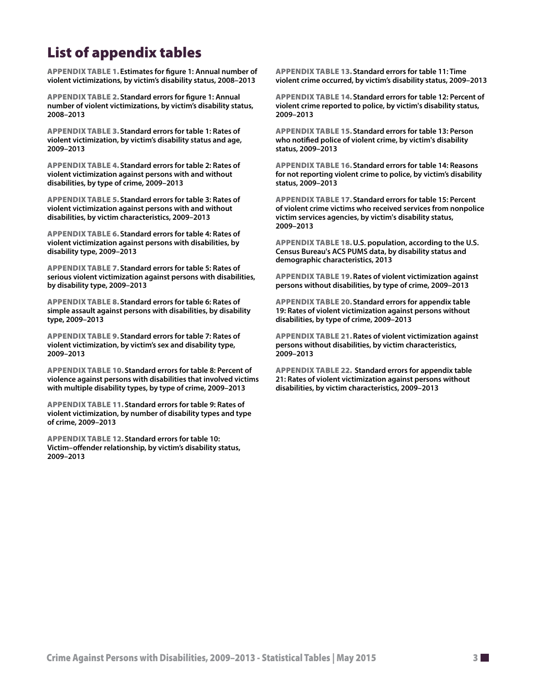# List of appendix tables

Appendix table 1.**Estimates for figure 1: Annual number of violent victimizations, by victim's disability status, 2008–2013**

Appendix table 2.**[Standard errors for figure 1:](#page-16-0) Annual number of violent victimizations, by victim's disability status, 2008–2013**

Appendix table 3.**[Standard errors for table 1:](#page-16-0) Rates of violent victimization, by victim's disability status and age, 200[9–2013](#page-4-0)**

Appendix table 4.**[Standard errors for table 2: R](#page-16-0)[ates of](#page-5-0)  [violent victimization against persons with and without](#page-5-0)  [disabilities, by type of crime, 2009–2013](#page-5-0)**

Appendix table 5.**[Standard errors for table 3:](#page-17-0) Rates of violent victimization against persons with and without disabilities, by victim characteristics, 2009–2013**

Appendix table 6.**Standard errors for table 4: Rates of violent victimization against persons with disabilities, by disability type, 2009–2013**

Appendix table 7.**[Standard errors for table 5:](#page-17-0) Rates of serious violent victimization against persons with disabilities, by disability type, 2009–2013**

Appendix table 8.**S[tandard errors for table 6:](#page-17-0) [Rates of](#page-6-0)  [simple assault against persons with disabilities, by disability](#page-6-0)  [type, 2009–2013](#page-6-0)**

Appendix table 9.**[Standard errors for table 7:](#page-17-0) [Rates of](#page-6-0)  [violent victimization, by victim's sex and disability type,](#page-6-0)  [2009–2013](#page-6-0)**

Appendix table 10.**[Standard errors for table 8:](#page-18-0) [Percent of](#page-7-0)  [violence against persons with disabilities that involved victims](#page-7-0)  [with multiple disability types, by type of crime, 2009–2013](#page-7-0)**

Appendix table 11.**[Standard errors for table 9:](#page-18-0) R[ates of](#page-7-0)  [violent victimization, by number of disability types and type](#page-7-0)  [of crime, 2009–2013](#page-7-0)**

Appendix table 12.**[Standard errors for table 10:](#page-18-0)  Victim–offender relationship, by victim's disability status, 2009–2013**

Appendix table 13.**[Standard errors for table 11:](#page-18-0) [Time](#page-8-0)  [violent crime occurred, by victim's disability status, 2009–2013](#page-8-0)**

Appendix table 14.**[Standard errors for table 12: Percent of](#page-19-0)  [violent crime reported to police, by victim's disability status,](#page-19-0)  [2009–2013](#page-19-0)**

Appendix table 15.**[Standard errors for table 13: Person](#page-19-0)  [who notified police of violent crime, by victim's disability](#page-19-0)  [status, 2009–2013](#page-19-0)**

Appendix table 16.**Standard errors for table 14: Reasons for not reporting violent crime to police, by victim's disability status, 2009–2013**

Appendix table 17.**Standard errors for table 15: Percent of violent crime victims who received services from nonpolice victim services agencies, by victim's disability status, 2009–2013**

Appendix table 18.**[U.S. population, according to the U.S.](#page-20-0)  [Census Bureau's ACS PUMS data, by disability status and](#page-20-0)  [demographic characteristics, 2013](#page-20-0)**

Appendix table 19.**R[ates of violent victimization against](#page-21-0)  [persons without disabilities, by type of crime, 2009–2013](#page-21-0)**

Appendix table 20.**[Standard errors for appendix table](#page-21-0)  [19: Rates of violent victimization against persons without](#page-21-0)  [disabilities, by type of crime, 2009–2013](#page-21-0)**

Appendix table 21.**R[ates of violent victimization against](#page-21-0)  [persons without disabilities, by victim characteristics,](#page-21-0)  [2009–2013](#page-21-0)**

Appendix table 22. **[Standard errors for appendix table](#page-21-0)  [21: Rates of violent victimization against persons without](#page-21-0)  [disabilities, by victim characteristics, 2009–2013](#page-21-0)**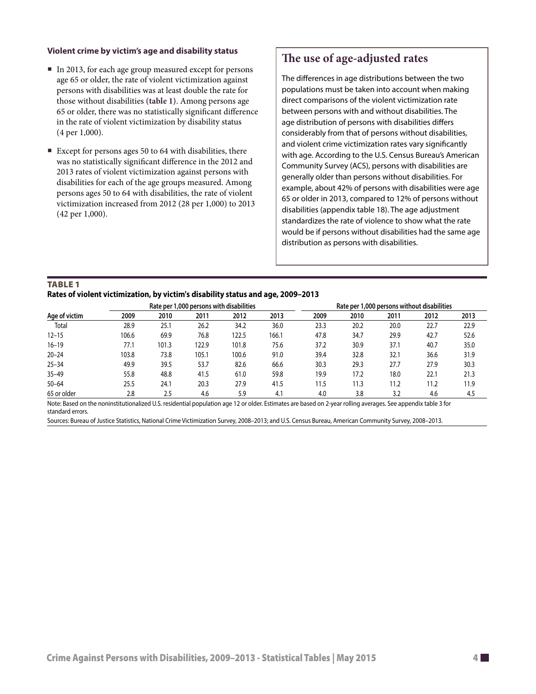#### **Violent crime by victim's age and disability status**

- In 2013, for each age group measured except for persons age 65 or older, the rate of violent victimization against persons with disabilities was at least double the rate for those without disabilities **(table 1)**. Among persons age 65 or older, there was no statistically significant difference in the rate of violent victimization by disability status (4 per 1,000).
- Except for persons ages 50 to 64 with disabilities, there was no statistically significant difference in the 2012 and 2013 rates of violent victimization against persons with disabilities for each of the age groups measured. Among persons ages 50 to 64 with disabilities, the rate of violent victimization increased from 2012 (28 per 1,000) to 2013 (42 per 1,000).

### **The use of age-adjusted rates**

The differences in age distributions between the two populations must be taken into account when making direct comparisons of the violent victimization rate between persons with and without disabilities. The age distribution of persons with disabilities differs considerably from that of persons without disabilities, and violent crime victimization rates vary significantly with age. According to the U.S. Census Bureau's American Community Survey (ACS), persons with disabilities are generally older than persons without disabilities. For example, about 42% of persons with disabilities were age 65 or older in 2013, compared to 12% of persons without disabilities (appendix table 18). The age adjustment standardizes the rate of violence to show what the rate would be if persons without disabilities had the same age distribution as persons with disabilities.

#### **TABLE 1 Rates of violent victimization, by victim's disability status and age, 2009–2013**

|               |       |       |       | Rate per 1,000 persons with disabilities |       | Rate per 1,000 persons without disabilities |      |      |      |      |  |
|---------------|-------|-------|-------|------------------------------------------|-------|---------------------------------------------|------|------|------|------|--|
| Age of victim | 2009  | 2010  | 2011  | 2012                                     | 2013  | 2009                                        | 2010 | 2011 | 2012 | 2013 |  |
| Total         | 28.9  | 25.1  | 26.2  | 34.2                                     | 36.0  | 23.3                                        | 20.2 | 20.0 | 22.7 | 22.9 |  |
| $12 - 15$     | 106.6 | 69.9  | 76.8  | 122.5                                    | 166.1 | 47.8                                        | 34.7 | 29.9 | 42.7 | 52.6 |  |
| $16 - 19$     | 77.1  | 101.3 | 122.9 | 101.8                                    | 75.6  | 37.2                                        | 30.9 | 37.1 | 40.7 | 35.0 |  |
| $20 - 24$     | 103.8 | 73.8  | 105.1 | 100.6                                    | 91.0  | 39.4                                        | 32.8 | 32.1 | 36.6 | 31.9 |  |
| $25 - 34$     | 49.9  | 39.5  | 53.7  | 82.6                                     | 66.6  | 30.3                                        | 29.3 | 27.7 | 27.9 | 30.3 |  |
| $35 - 49$     | 55.8  | 48.8  | 41.5  | 61.0                                     | 59.8  | 19.9                                        | 17.2 | 18.0 | 22.1 | 21.3 |  |
| $50 - 64$     | 25.5  | 24.1  | 20.3  | 27.9                                     | 41.5  | 11.5                                        | 11.3 | 11.2 | 11.2 | 11.9 |  |
| 65 or older   | 2.8   | 2.5   | 4.6   | 5.9                                      | 4.1   | 4.0                                         | 3.8  | 3.2  | 4.6  | 4.5  |  |

Note: Based on the noninstitutionalized U.S. residential population age 12 or older. Estimates are based on 2-year rolling averages. See appendix table 3 for standard errors.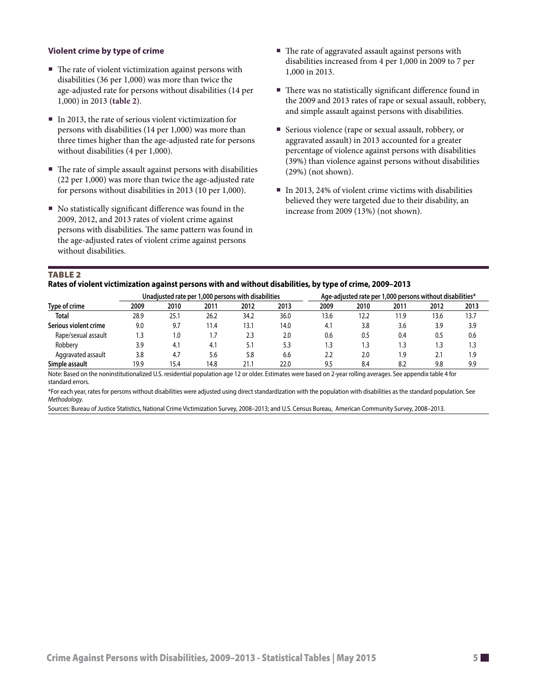#### <span id="page-4-0"></span>**Violent crime by type of crime**

- $\blacksquare$  The rate of violent victimization against persons with disabilities (36 per 1,000) was more than twice the age-adjusted rate for persons without disabilities (14 per 1,000) in 2013 **(table 2)**.
- In 2013, the rate of serious violent victimization for persons with disabilities (14 per 1,000) was more than three times higher than the age-adjusted rate for persons without disabilities (4 per 1,000).
- The rate of simple assault against persons with disabilities (22 per 1,000) was more than twice the age-adjusted rate for persons without disabilities in 2013 (10 per 1,000).
- $\blacksquare$  No statistically significant difference was found in the 2009, 2012, and 2013 rates of violent crime against persons with disabilities. The same pattern was found in the age-adjusted rates of violent crime against persons without disabilities.
- The rate of aggravated assault against persons with disabilities increased from 4 per 1,000 in 2009 to 7 per 1,000 in 2013.
- There was no statistically significant difference found in the 2009 and 2013 rates of rape or sexual assault, robbery, and simple assault against persons with disabilities.
- Serious violence (rape or sexual assault, robbery, or aggravated assault) in 2013 accounted for a greater percentage of violence against persons with disabilities (39%) than violence against persons without disabilities (29%) (not shown).
- $\blacksquare$  In 2013, 24% of violent crime victims with disabilities believed they were targeted due to their disability, an increase from 2009 (13%) (not shown).

#### TABLE<sub>2</sub>

**Rates of violent victimization against persons with and without disabilities, by type of crime, 2009–2013**

|                       |      |      | Unadjusted rate per 1,000 persons with disabilities |      |      | Age-adjusted rate per 1,000 persons without disabilities* |      |      |      |      |  |
|-----------------------|------|------|-----------------------------------------------------|------|------|-----------------------------------------------------------|------|------|------|------|--|
| Type of crime         | 2009 | 2010 | 2011                                                | 2012 | 2013 | 2009                                                      | 2010 | 2011 | 2012 | 2013 |  |
| <b>Total</b>          | 28.9 | 25.1 | 26.2                                                | 34.2 | 36.0 | 13.6                                                      | 12.2 | 11.9 | 13.6 | 13.7 |  |
| Serious violent crime | 9.0  | 9.7  | 11.4                                                | 13.1 | 14.0 | 4.1                                                       | 3.8  | 3.6  | 3.9  | 3.9  |  |
| Rape/sexual assault   |      | 1.0  | 1.7                                                 | 2.3  | 2.0  | 0.6                                                       | 0.5  | 0.4  | 0.5  | 0.6  |  |
| Robbery               | 3.9  | 4.1  | 4.1                                                 | 5.1  | 5.3  | 1.3                                                       | 3.،  | 1.3  | ۱.3  | 1.3  |  |
| Aggravated assault    | 3.8  | 4.7  | 5.6                                                 | 5.8  | 6.6  | 2.2                                                       | 2.0  | 1.9  | 2.1  | 1.9  |  |
| Simple assault        | 19.9 | 15.4 | 14.8                                                | 21.1 | 22.0 | 9.5                                                       | 8.4  | 8.2  | 9.8  | 9.9  |  |

Note: Based on the noninstitutionalized U.S. residential population age 12 or older. Estimates were based on 2-year rolling averages. See appendix table 4 for standard errors.

\*For each year, rates for persons without disabilities were adjusted using direct standardization with the population with disabilities as the standard population. See *Methodology*.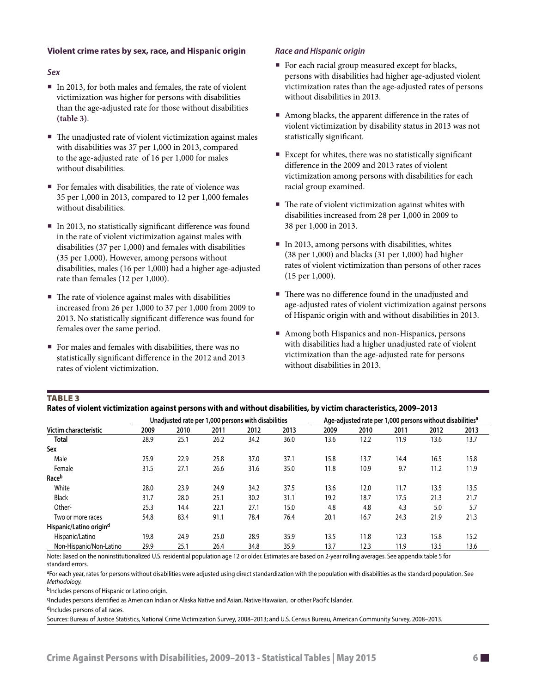#### <span id="page-5-0"></span>**Violent crime rates by sex, race, and Hispanic origin**

#### *Sex*

- In 2013, for both males and females, the rate of violent victimization was higher for persons with disabilities than the age-adjusted rate for those without disabilities **(table 3)**.
- The unadjusted rate of violent victimization against males with disabilities was 37 per 1,000 in 2013, compared to the age-adjusted rate of 16 per 1,000 for males without disabilities.
- For females with disabilities, the rate of violence was 35 per 1,000 in 2013, compared to 12 per 1,000 females without disabilities.
- In 2013, no statistically significant difference was found in the rate of violent victimization against males with disabilities (37 per 1,000) and females with disabilities (35 per 1,000). However, among persons without disabilities, males (16 per 1,000) had a higher age-adjusted rate than females (12 per 1,000).
- $\blacksquare$  The rate of violence against males with disabilities increased from 26 per 1,000 to 37 per 1,000 from 2009 to 2013. No statistically significant difference was found for females over the same period.
- For males and females with disabilities, there was no statistically significant difference in the 2012 and 2013 rates of violent victimization.

#### *Race and Hispanic origin*

- For each racial group measured except for blacks, persons with disabilities had higher age-adjusted violent victimization rates than the age-adjusted rates of persons without disabilities in 2013.
- Among blacks, the apparent difference in the rates of violent victimization by disability status in 2013 was not statistically significant.
- Except for whites, there was no statistically significant difference in the 2009 and 2013 rates of violent victimization among persons with disabilities for each racial group examined.
- $\blacksquare$  The rate of violent victimization against whites with disabilities increased from 28 per 1,000 in 2009 to 38 per 1,000 in 2013.
- In 2013, among persons with disabilities, whites (38 per 1,000) and blacks (31 per 1,000) had higher rates of violent victimization than persons of other races (15 per 1,000).
- There was no difference found in the unadjusted and age-adjusted rates of violent victimization against persons of Hispanic origin with and without disabilities in 2013.
- Among both Hispanics and non-Hispanics, persons with disabilities had a higher unadjusted rate of violent victimization than the age-adjusted rate for persons without disabilities in 2013.

#### TABLE<sub>3</sub>

|                                     |      |      |      | Unadjusted rate per 1,000 persons with disabilities |      | Age-adjusted rate per 1,000 persons without disabilities <sup>a</sup> |      |      |      |      |  |
|-------------------------------------|------|------|------|-----------------------------------------------------|------|-----------------------------------------------------------------------|------|------|------|------|--|
| Victim characteristic               | 2009 | 2010 | 2011 | 2012                                                | 2013 | 2009                                                                  | 2010 | 2011 | 2012 | 2013 |  |
| <b>Total</b>                        | 28.9 | 25.1 | 26.2 | 34.2                                                | 36.0 | 13.6                                                                  | 12.2 | 11.9 | 13.6 | 13.7 |  |
| Sex                                 |      |      |      |                                                     |      |                                                                       |      |      |      |      |  |
| Male                                | 25.9 | 22.9 | 25.8 | 37.0                                                | 37.1 | 15.8                                                                  | 13.7 | 14.4 | 16.5 | 15.8 |  |
| Female                              | 31.5 | 27.1 | 26.6 | 31.6                                                | 35.0 | 11.8                                                                  | 10.9 | 9.7  | 11.2 | 11.9 |  |
| Race <sup>b</sup>                   |      |      |      |                                                     |      |                                                                       |      |      |      |      |  |
| White                               | 28.0 | 23.9 | 24.9 | 34.2                                                | 37.5 | 13.6                                                                  | 12.0 | 11.7 | 13.5 | 13.5 |  |
| <b>Black</b>                        | 31.7 | 28.0 | 25.1 | 30.2                                                | 31.1 | 19.2                                                                  | 18.7 | 17.5 | 21.3 | 21.7 |  |
| Other <sup>c</sup>                  | 25.3 | 14.4 | 22.1 | 27.1                                                | 15.0 | 4.8                                                                   | 4.8  | 4.3  | 5.0  | 5.7  |  |
| Two or more races                   | 54.8 | 83.4 | 91.1 | 78.4                                                | 76.4 | 20.1                                                                  | 16.7 | 24.3 | 21.9 | 21.3 |  |
| Hispanic/Latino origin <sup>d</sup> |      |      |      |                                                     |      |                                                                       |      |      |      |      |  |
| Hispanic/Latino                     | 19.8 | 24.9 | 25.0 | 28.9                                                | 35.9 | 13.5                                                                  | 11.8 | 12.3 | 15.8 | 15.2 |  |
| Non-Hispanic/Non-Latino             | 29.9 | 25.1 | 26.4 | 34.8                                                | 35.9 | 13.7                                                                  | 12.3 | 11.9 | 13.5 | 13.6 |  |

Note: Based on the noninstitutionalized U.S. residential population age 12 or older. Estimates are based on 2-year rolling averages. See appendix table 5 for standard errors.

aFor each year, rates for persons without disabilities were adjusted using direct standardization with the population with disabilities as the standard population. See *Methodology.*

bIncludes persons of Hispanic or Latino origin.

cIncludes persons identified as American Indian or Alaska Native and Asian, Native Hawaiian, or other Pacific Islander.

dIncludes persons of all races.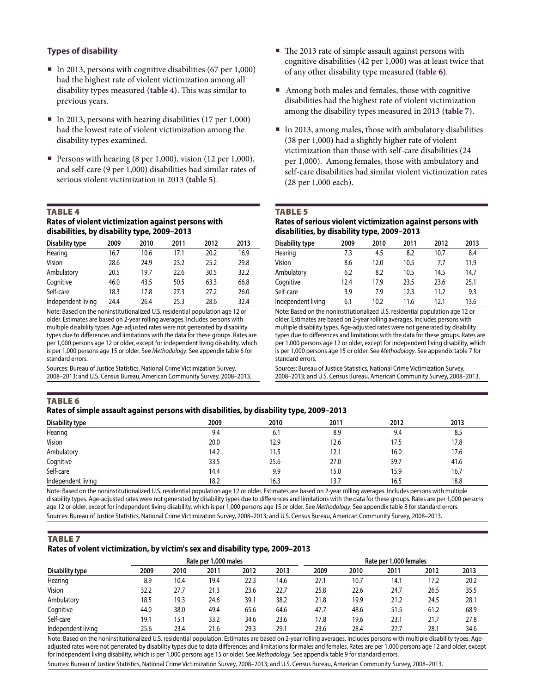#### <span id="page-6-0"></span>**Types of disability**

- In 2013, persons with cognitive disabilities  $(67 \text{ per } 1,000)$ had the highest rate of violent victimization among all disability types measured **(table 4)**. This was similar to previous years.
- In 2013, persons with hearing disabilities (17 per 1,000) had the lowest rate of violent victimization among the disability types examined.
- Persons with hearing (8 per 1,000), vision (12 per 1,000), and self-care (9 per 1,000) disabilities had similar rates of serious violent victimization in 2013 **(table 5)**.

#### Table 4

#### **Rates of violent victimization against persons with disabilities, by disability type, 2009–2013**

| Disability type    | 2009 | 2010 | 2011 | 2012 | 2013 |
|--------------------|------|------|------|------|------|
| Hearing            | 16.7 | 10.6 | 17.1 | 20.2 | 16.9 |
| Vision             | 28.6 | 24.9 | 23.2 | 25.2 | 29.8 |
| Ambulatory         | 20.5 | 19.7 | 22.6 | 30.5 | 32.2 |
| Cognitive          | 46.0 | 43.5 | 50.5 | 63.3 | 66.8 |
| Self-care          | 18.3 | 17.8 | 27.3 | 27.2 | 26.0 |
| Independent living | 24.4 | 26.4 | 25.3 | 28.6 | 32.4 |

Note: Based on the noninstitutionalized U.S. residential population age 12 or older. Estimates are based on 2-year rolling averages. Includes persons with multiple disability types. Age-adjusted rates were not generated by disability types due to differences and limitations with the data for these groups. Rates are per 1,000 persons age 12 or older, except for independent living disability, which is per 1,000 persons age 15 or older. See *Methodology*. See appendix table 6 for standard errors.

Sources: Bureau of Justice Statistics, National Crime Victimization Survey, 2008–2013; and U.S. Census Bureau, American Community Survey, 2008–2013.

- The 2013 rate of simple assault against persons with cognitive disabilities (42 per 1,000) was at least twice that of any other disability type measured **(table 6)**.
- Among both males and females, those with cognitive disabilities had the highest rate of violent victimization among the disability types measured in 2013 **(table 7)**.
- In 2013, among males, those with ambulatory disabilities (38 per 1,000) had a slightly higher rate of violent victimization than those with self-care disabilities (24 per 1,000). Among females, those with ambulatory and self-care disabilities had similar violent victimization rates (28 per 1,000 each).

#### TABLE<sub>5</sub>

#### **Rates of serious violent victimization against persons with disabilities, by disability type, 2009–2013**

| Disability type    | 2009 | 2010 | 2011 | 2012 | 2013 |  |
|--------------------|------|------|------|------|------|--|
| Hearing            | 7.3  | 4.5  | 8.2  | 10.7 | 8.4  |  |
| Vision             | 8.6  | 12.0 | 10.5 | 7.7  | 11.9 |  |
| Ambulatory         | 6.2  | 8.2  | 10.5 | 14.5 | 14.7 |  |
| Cognitive          | 12.4 | 17.9 | 23.5 | 23.6 | 25.1 |  |
| Self-care          | 3.9  | 7.9  | 12.3 | 11.2 | 9.3  |  |
| Independent living | 6.1  | 10.2 | 11.6 | 12.1 | 13.6 |  |

Note: Based on the noninstitutionalized U.S. residential population age 12 or older. Estimates are based on 2-year rolling averages. Includes persons with multiple disability types. Age-adjusted rates were not generated by disability types due to differences and limitations with the data for these groups. Rates are per 1,000 persons age 12 or older, except for independent living disability, which is per 1,000 persons age 15 or older. See *Methodology*. See appendix table 7 for standard errors.

Sources: Bureau of Justice Statistics, National Crime Victimization Survey, 2008–2013; and U.S. Census Bureau, American Community Survey, 2008–2013.

### Table 6

### **Rates of simple assault against persons with disabilities, by disability type, 2009–2013**

| Disability type    | 2009 | 2010 | 2011 | 2012 | 2013 |
|--------------------|------|------|------|------|------|
| Hearing            | 9.4  | 6.1  | 8.9  | 9.4  | 8.5  |
| Vision             | 20.0 | 12.9 | 12.6 | 17.5 | 17.8 |
| Ambulatory         | 14.2 | 11.5 | 12.1 | 16.0 | 17.6 |
| Cognitive          | 33.5 | 25.6 | 27.0 | 39.7 | 41.6 |
| Self-care          | 14.4 | 9.9  | 15.0 | 15.9 | 16.7 |
| Independent living | 18.2 | 16.3 | 13.7 | 16.5 | 18.8 |

Note: Based on the noninstitutionalized U.S. residential population age 12 or older. Estimates are based on 2-year rolling averages. Includes persons with multiple disability types. Age-adjusted rates were not generated by disability types due to differences and limitations with the data for these groups. Rates are per 1,000 persons age 12 or older, except for independent living disability, which is per 1,000 persons age 15 or older. See *Methodology*. See appendix table 8 for standard errors. Sources: Bureau of Justice Statistics, National Crime Victimization Survey, 2008–2013; and U.S. Census Bureau, American Community Survey, 2008–2013.

#### **TABLE 7**

#### **Rates of volent victimization, by victim's sex and disability type, 2009–2013**

|                    |      |      | Rate per 1,000 males |      |      | Rate per 1,000 females |      |      |      |      |  |
|--------------------|------|------|----------------------|------|------|------------------------|------|------|------|------|--|
| Disability type    | 2009 | 2010 | 2011                 | 2012 | 2013 | 2009                   | 2010 | 2011 | 2012 | 2013 |  |
| Hearing            | 8.9  | 10.4 | 19.4                 | 22.3 | 14.6 | 27.1                   | 10.7 | 14.1 | 17.2 | 20.2 |  |
| Vision             | 32.2 | 27.7 | 21.3                 | 23.6 | 22.7 | 25.8                   | 22.6 | 24.7 | 26.5 | 35.5 |  |
| Ambulatory         | 18.5 | 19.3 | 24.6                 | 39.1 | 38.2 | 21.8                   | 19.9 | 21.2 | 24.5 | 28.1 |  |
| Cognitive          | 44.0 | 38.0 | 49.4                 | 65.6 | 64.6 | 47.7                   | 48.6 | 51.5 | 61.2 | 68.9 |  |
| Self-care          | 19.1 | 15.1 | 33.2                 | 34.6 | 23.6 | 17.8                   | 19.6 | 23.1 | 21.7 | 27.8 |  |
| Independent living | 25.6 | 23.4 | 21.6                 | 29.3 | 29.1 | 23.6                   | 28.4 | 27.7 | 28.1 | 34.6 |  |

Note: Based on the noninstitutionalized U.S. residential population. Estimates are based on 2-year rolling averages. Includes persons with multiple disability types. Ageadjusted rates were not generated by disability types due to data differences and limitations for males and females. Rates are per 1,000 persons age 12 and older, except for independent living disability, which is per 1,000 persons age 15 or older. See *Methodology*. See appendix table 9 for standard errors.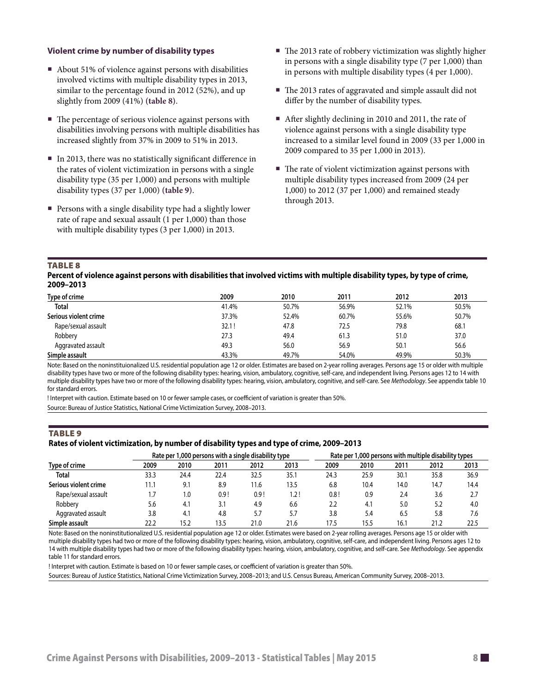#### <span id="page-7-0"></span>**Violent crime by number of disability types**

- About 51% of violence against persons with disabilities involved victims with multiple disability types in 2013, similar to the percentage found in 2012 (52%), and up slightly from 2009 (41%) **(table 8)**.
- $\blacksquare$  The percentage of serious violence against persons with disabilities involving persons with multiple disabilities has increased slightly from 37% in 2009 to 51% in 2013.
- In 2013, there was no statistically significant difference in the rates of violent victimization in persons with a single disability type (35 per 1,000) and persons with multiple disability types (37 per 1,000) **(table 9)**.
- **Persons with a single disability type had a slightly lower** rate of rape and sexual assault (1 per 1,000) than those with multiple disability types (3 per 1,000) in 2013.
- The 2013 rate of robbery victimization was slightly higher in persons with a single disability type (7 per 1,000) than in persons with multiple disability types (4 per 1,000).
- The 2013 rates of aggravated and simple assault did not differ by the number of disability types.
- After slightly declining in 2010 and 2011, the rate of violence against persons with a single disability type increased to a similar level found in 2009 (33 per 1,000 in 2009 compared to 35 per 1,000 in 2013).
- $\blacksquare$  The rate of violent victimization against persons with multiple disability types increased from 2009 (24 per 1,000) to 2012 (37 per 1,000) and remained steady through 2013.

#### Table 8

**Percent of violence against persons with disabilities that involved victims with multiple disability types, by type of crime, 2009–2013**

| Type of crime         | 2009  | 2010  | 2011  | 2012  | 2013  |
|-----------------------|-------|-------|-------|-------|-------|
| <b>Total</b>          | 41.4% | 50.7% | 56.9% | 52.1% | 50.5% |
| Serious violent crime | 37.3% | 52.4% | 60.7% | 55.6% | 50.7% |
| Rape/sexual assault   | 32.1! | 47.8  | 72.5  | 79.8  | 68.1  |
| Robbery               | 27.3  | 49.4  | 61.3  | 51.0  | 37.0  |
| Aggravated assault    | 49.3  | 56.0  | 56.9  | 50.1  | 56.6  |
| Simple assault        | 43.3% | 49.7% | 54.0% | 49.9% | 50.3% |

Note: Based on the noninstituionalized U.S. residential population age 12 or older. Estimates are based on 2-year rolling averages. Persons age 15 or older with multiple disability types have two or more of the following disability types: hearing, vision, ambulatory, cognitive, self-care, and independent living. Persons ages 12 to 14 with multiple disability types have two or more of the following disability types: hearing, vision, ambulatory, cognitive, and self-care. See *Methodology*. See appendix table 10 for standard errors.

! Interpret with caution. Estimate based on 10 or fewer sample cases, or coefficient of variation is greater than 50%.

Source: Bureau of Justice Statistics, National Crime Victimization Survey, 2008–2013.

#### **TABLE 9**

#### **Rates of violent victimization, by number of disability types and type of crime, 2009–2013**

|                       |      | Rate per 1,000 persons with a single disability type | Rate per 1,000 persons with multiple disability types |      |      |      |      |      |      |      |
|-----------------------|------|------------------------------------------------------|-------------------------------------------------------|------|------|------|------|------|------|------|
| Type of crime         | 2009 | 2010                                                 | 2011                                                  | 2012 | 2013 | 2009 | 2010 | 2011 | 2012 | 2013 |
| <b>Total</b>          | 33.3 | 24.4                                                 | 22.4                                                  | 32.5 | 35.1 | 24.3 | 25.9 | 30.1 | 35.8 | 36.9 |
| Serious violent crime | 11.1 | 9.1                                                  | 8.9                                                   | 11.6 | 13.5 | 6.8  | 10.4 | 14.0 | 14.7 | 14.4 |
| Rape/sexual assault   |      | 1.0                                                  | 0.9!                                                  | 0.9! | 1.2! | 0.8! | 0.9  | 2.4  | 3.6  | 2.7  |
| Robberv               | 5.6  | 4.1                                                  | 3.1                                                   | 4.9  | 6.6  | 2.2  | 4.1  | 5.0  | 5.2  | 4.0  |
| Aggravated assault    | 3.8  | 4.1                                                  | 4.8                                                   | 5.7  | 5.7  | 3.8  | 5.4  | 6.5  | 5.8  | 7.6  |
| Simple assault        | 22.2 | 15.2                                                 | 13.5                                                  | 21.0 | 21.6 | 17.5 | 15.5 | 16.1 | 21.2 | 22.5 |

Note: Based on the noninstitutionalized U.S. residential population age 12 or older. Estimates were based on 2-year rolling averages. Persons age 15 or older with multiple disability types had two or more of the following disability types: hearing, vision, ambulatory, cognitive, self-care, and independent living. Persons ages 12 to 14 with multiple disability types had two or more of the following disability types: hearing, vision, ambulatory, cognitive, and self-care. See *Methodology*. See appendix table 11 for standard errors.

! Interpret with caution. Estimate is based on 10 or fewer sample cases, or coefficient of variation is greater than 50%.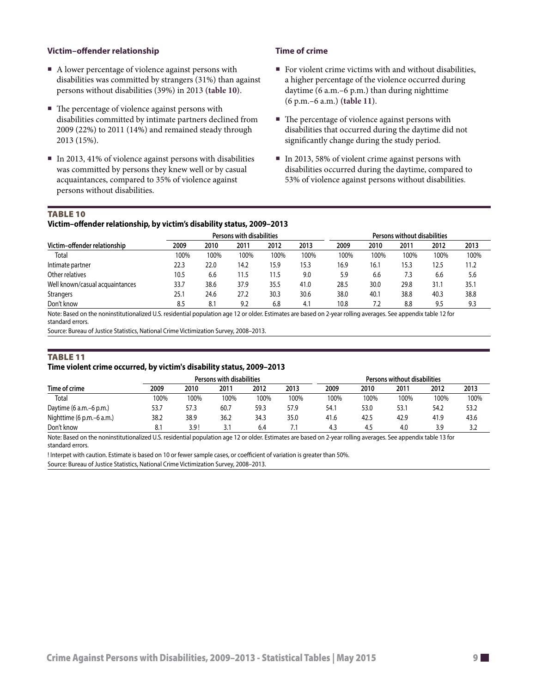#### <span id="page-8-0"></span>**Victim–offender relationship**

- A lower percentage of violence against persons with disabilities was committed by strangers (31%) than against persons without disabilities (39%) in 2013 **(table 10)**.
- $\blacksquare$  The percentage of violence against persons with disabilities committed by intimate partners declined from 2009 (22%) to 2011 (14%) and remained steady through 2013 (15%).
- In 2013, 41% of violence against persons with disabilities was committed by persons they knew well or by casual acquaintances, compared to 35% of violence against persons without disabilities.

#### **Time of crime**

- For violent crime victims with and without disabilities, a higher percentage of the violence occurred during daytime (6 a.m.–6 p.m.) than during nighttime (6 p.m.–6 a.m.) **(table 11)**.
- The percentage of violence against persons with disabilities that occurred during the daytime did not significantly change during the study period.
- In 2013, 58% of violent crime against persons with disabilities occurred during the daytime, compared to 53% of violence against persons without disabilities.

#### TABLE 10

#### **Victim–offender relationship, by victim's disability status, 2009–2013**

|                                 |      |      | Persons with disabilities |      | Persons without disabilities |      |      |      |      |      |
|---------------------------------|------|------|---------------------------|------|------------------------------|------|------|------|------|------|
| Victim-offender relationship    | 2009 | 2010 | 2011                      | 2012 | 2013                         | 2009 | 2010 | 2011 | 2012 | 2013 |
| Total                           | 100% | 100% | 100%                      | 100% | 100%                         | 100% | 100% | 100% | 100% | 100% |
| Intimate partner                | 22.3 | 22.0 | 14.2                      | 15.9 | 15.3                         | 16.9 | 16.1 | 15.3 | 12.5 | 11.2 |
| Other relatives                 | 10.5 | 6.6  | 11.5                      | 11.5 | 9.0                          | 5.9  | 6.6  | 7.3  | 6.6  | 5.6  |
| Well known/casual acquaintances | 33.7 | 38.6 | 37.9                      | 35.5 | 41.0                         | 28.5 | 30.0 | 29.8 | 31.1 | 35.1 |
| <b>Strangers</b>                | 25.1 | 24.6 | 27.2                      | 30.3 | 30.6                         | 38.0 | 40.1 | 38.8 | 40.3 | 38.8 |
| Don't know                      | 8.5  | 8.1  | 9.2                       | 6.8  | 4.1                          | 10.8 | 7.2  | 8.8  | 9.5  | 9.3  |

Note: Based on the noninstitutionalized U.S. residential population age 12 or older. Estimates are based on 2-year rolling averages. See appendix table 12 for standard errors.

Source: Bureau of Justice Statistics, National Crime Victimization Survey, 2008–2013.

#### TABLE 11

#### **Time violent crime occurred, by victim's disability status, 2009–2013**

|                           |      |                  | Persons with disabilities |      | Persons without disabilities |      |      |      |      |      |
|---------------------------|------|------------------|---------------------------|------|------------------------------|------|------|------|------|------|
| Time of crime             | 2009 | 2010             | 2011                      | 2012 | 2013                         | 2009 | 2010 | 2011 | 2012 | 2013 |
| Total                     | 100% | 100%             | 100%                      | 100% | 100%                         | 100% | 100% | 100% | 100% | 100% |
| Daytime $(6 a.m.-6 p.m.)$ | 53.7 | 57.3             | 60.7                      | 59.3 | 57.9                         | 54.1 | 53.0 | 53.1 | 54.2 | 53.2 |
| Nighttime (6 p.m.–6 a.m.) | 38.2 | 38.9             | 36.2                      | 34.3 | 35.0                         | 41.6 | 42.5 | 42.9 | 41.9 | 43.6 |
| Don't know                | 8.1  | 3.9 <sup>2</sup> | 3.1                       | 6.4  |                              | 4.3  | 4.5  | 4.0  | 3.9  | 3.2  |

Note: Based on the noninstitutionalized U.S. residential population age 12 or older. Estimates are based on 2-year rolling averages. See appendix table 13 for standard errors.

! Interpet with caution. Estimate is based on 10 or fewer sample cases, or coefficient of variation is greater than 50%.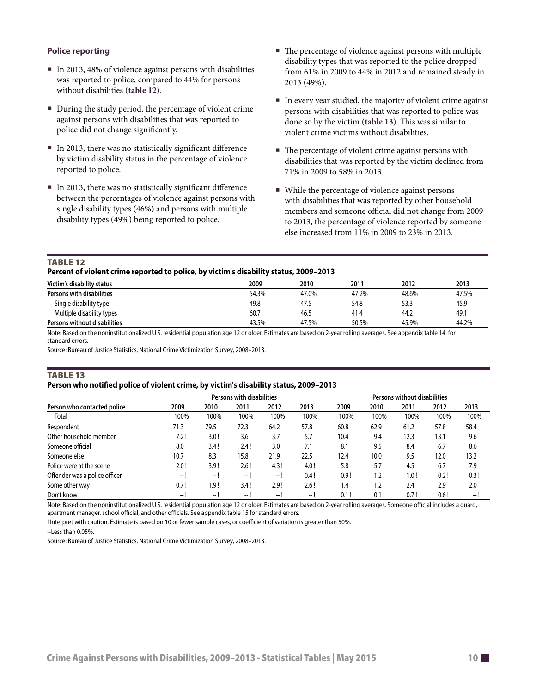#### <span id="page-9-0"></span>**Police reporting**

- $\blacksquare$  In 2013, 48% of violence against persons with disabilities was reported to police, compared to 44% for persons without disabilities **(table 12)**.
- During the study period, the percentage of violent crime against persons with disabilities that was reported to police did not change significantly.
- In 2013, there was no statistically significant difference by victim disability status in the percentage of violence reported to police.
- In 2013, there was no statistically significant difference between the percentages of violence against persons with single disability types (46%) and persons with multiple disability types (49%) being reported to police.
- The percentage of violence against persons with multiple disability types that was reported to the police dropped from 61% in 2009 to 44% in 2012 and remained steady in 2013 (49%).
- In every year studied, the majority of violent crime against persons with disabilities that was reported to police was done so by the victim **(table 13)**. This was similar to violent crime victims without disabilities.
- $\blacksquare$  The percentage of violent crime against persons with disabilities that was reported by the victim declined from 71% in 2009 to 58% in 2013.
- While the percentage of violence against persons with disabilities that was reported by other household members and someone official did not change from 2009 to 2013, the percentage of violence reported by someone else increased from 11% in 2009 to 23% in 2013.

#### TABLE 12

#### **Percent of violent crime reported to police, by victim's disability status, 2009–2013**

| Victim's disability status   | 2009  | 2010  | 2011  | 2012  | 2013  |
|------------------------------|-------|-------|-------|-------|-------|
| Persons with disabilities    | 54.3% | 47.0% | 47.2% | 48.6% | 47.5% |
| Single disability type       | 49.8  | 47.5  | 54.8  | 53.3  | 45.9  |
| Multiple disability types    | 60.7  | 46.5  | 41.4  | 44.2  | 49.1  |
| Persons without disabilities | 43.5% | 47.5% | 50.5% | 45.9% | 44.2% |

Note: Based on the noninstitutionalized U.S. residential population age 12 or older. Estimates are based on 2-year rolling averages. See appendix table 14 for standard errors.

Source: Bureau of Justice Statistics, National Crime Victimization Survey, 2008–2013.

#### TABLE 13

#### **Person who notified police of violent crime, by victim's disability status, 2009–2013**

|                               |      |      | Persons with disabilities |      | Persons without disabilities |      |      |      |      |                          |
|-------------------------------|------|------|---------------------------|------|------------------------------|------|------|------|------|--------------------------|
| Person who contacted police   | 2009 | 2010 | 2011                      | 2012 | 2013                         | 2009 | 2010 | 2011 | 2012 | 2013                     |
| Total                         | 100% | 100% | 100%                      | 100% | 100%                         | 100% | 100% | 100% | 100% | 100%                     |
| Respondent                    | 71.3 | 79.5 | 72.3                      | 64.2 | 57.8                         | 60.8 | 62.9 | 61.2 | 57.8 | 58.4                     |
| Other household member        | 7.2! | 3.0! | 3.6                       | 3.7  | 5.7                          | 10.4 | 9.4  | 12.3 | 13.1 | 9.6                      |
| Someone official              | 8.0  | 3.4! | 2.4!                      | 3.0  | 7.1                          | 8.1  | 9.5  | 8.4  | 6.7  | 8.6                      |
| Someone else                  | 10.7 | 8.3  | 15.8                      | 21.9 | 22.5                         | 12.4 | 10.0 | 9.5  | 12.0 | 13.2                     |
| Police were at the scene      | 2.0! | 3.9! | 2.6!                      | 4.3! | 4.0!                         | 5.8  | 5.7  | 4.5  | 6.7  | 7.9                      |
| Offender was a police officer | -- I | $--$ | — I                       | -- I | 0.4!                         | 0.9! | 1.2! | 1.0! | 0.2! | 0.3!                     |
| Some other way                | 0.7! | 1.9! | 3.4!                      | 2.9! | 2.6!                         | 1.4  | 1.2  | 2.4  | 2.9  | 2.0                      |
| Don't know                    | — I  | $-1$ | I                         | -- 1 | — I                          | 0.1! | 0.1! | 0.7! | 0.6! | $\overline{\phantom{a}}$ |

Note: Based on the noninstitutionalized U.S. residential population age 12 or older. Estimates are based on 2-year rolling averages. Someone official includes a guard, apartment manager, school official, and other officials. See appendix table 15 for standard errors.

! Interpret with caution. Estimate is based on 10 or fewer sample cases, or coefficient of variation is greater than 50%.

 $-$ Less than 0.05%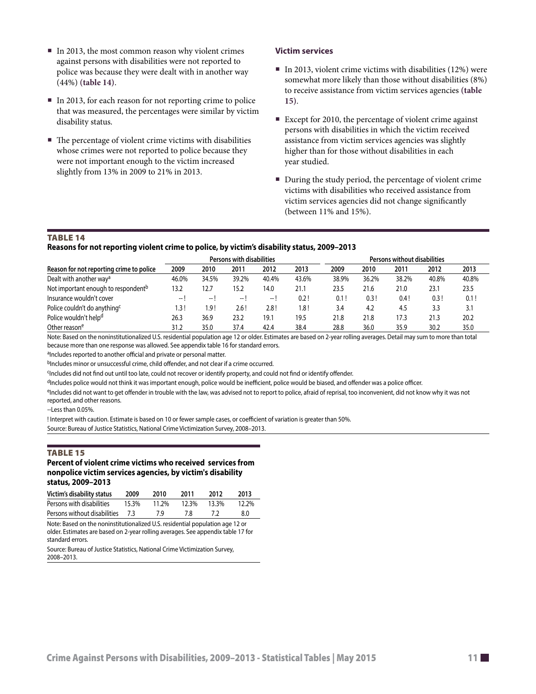- <span id="page-10-0"></span>In 2013, the most common reason why violent crimes against persons with disabilities were not reported to police was because they were dealt with in another way (44%) **(table 14)**.
- In 2013, for each reason for not reporting crime to police that was measured, the percentages were similar by victim disability status.
- The percentage of violent crime victims with disabilities whose crimes were not reported to police because they were not important enough to the victim increased slightly from 13% in 2009 to 21% in 2013.

#### **Victim services**

- $\blacksquare$  In 2013, violent crime victims with disabilities (12%) were somewhat more likely than those without disabilities (8%) to receive assistance from victim services agencies **(table 15)**.
- Except for 2010, the percentage of violent crime against persons with disabilities in which the victim received assistance from victim services agencies was slightly higher than for those without disabilities in each year studied.
- During the study period, the percentage of violent crime victims with disabilities who received assistance from victim services agencies did not change significantly (between 11% and 15%).

#### Table 14

#### **Reasons for not reporting violent crime to police, by victim's disability status, 2009–2013**

|                                                 | Persons with disabilities |       |       |       |       |       | Persons without disabilities |       |       |       |  |
|-------------------------------------------------|---------------------------|-------|-------|-------|-------|-------|------------------------------|-------|-------|-------|--|
| Reason for not reporting crime to police        | 2009                      | 2010  | 2011  | 2012  | 2013  | 2009  | 2010                         | 2011  | 2012  | 2013  |  |
| Dealt with another way <sup>a</sup>             | 46.0%                     | 34.5% | 39.2% | 40.4% | 43.6% | 38.9% | 36.2%                        | 38.2% | 40.8% | 40.8% |  |
| Not important enough to respondent <sup>b</sup> | 13.2                      | 12.7  | 15.2  | 14.0  | 21.1  | 23.5  | 21.6                         | 21.0  | 23.1  | 23.5  |  |
| Insurance wouldn't cover                        | --                        | — I   | $-$   | -- I  | 0.2!  | 0.1!  | 0.3!                         | 0.4!  | 0.3!  | 0.1!  |  |
| Police couldn't do anything <sup>c</sup>        | 1.3 !                     | ! 9.  | 2.6 ! | 2.8!  | 1.8 ! | 3.4   | 4.2                          | 4.5   | 3.3   | 3.1   |  |
| Police wouldn't help <sup>d</sup>               | 26.3                      | 36.9  | 23.2  | 19.1  | 19.5  | 21.8  | 21.8                         | 17.3  | 21.3  | 20.2  |  |
| Other reasone                                   | 31.2                      | 35.0  | 37.4  | 42.4  | 38.4  | 28.8  | 36.0                         | 35.9  | 30.2  | 35.0  |  |

Note: Based on the noninstitutionalized U.S. residential population age 12 or older. Estimates are based on 2-year rolling averages. Detail may sum to more than total because more than one response was allowed. See appendix table 16 for standard errors.

aIncludes reported to another official and private or personal matter.

bIncludes minor or unsuccessful crime, child offender, and not clear if a crime occurred.

<sup>c</sup>Includes did not find out until too late, could not recover or identify property, and could not find or identify offender.

dIncludes police would not think it was important enough, police would be inefficient, police would be biased, and offender was a police officer.

eIncludes did not want to get offender in trouble with the law, was advised not to report to police, afraid of reprisal, too inconvenient, did not know why it was not reported, and other reasons.

--Less than 0.05%.

! Interpret with caution. Estimate is based on 10 or fewer sample cases, or coefficient of variation is greater than 50%. Source: Bureau of Justice Statistics, National Crime Victimization Survey, 2008–2013.

#### Table 15

#### **Percent of violent crime victims who received services from nonpolice victim services agencies, by victim's disability status, 2009–2013**

| 2009                             | 2010  | 2011  | 2012  | 2013     |
|----------------------------------|-------|-------|-------|----------|
| 15.3%                            | 11.2% | 12.3% | 13.3% | $12.2\%$ |
| Persons without disabilities 7.3 | 7 Q   | 78    |       | 8.0      |
|                                  |       |       |       |          |

Note: Based on the noninstitutionalized U.S. residential population age 12 or older. Estimates are based on 2-year rolling averages. See appendix table 17 for standard errors.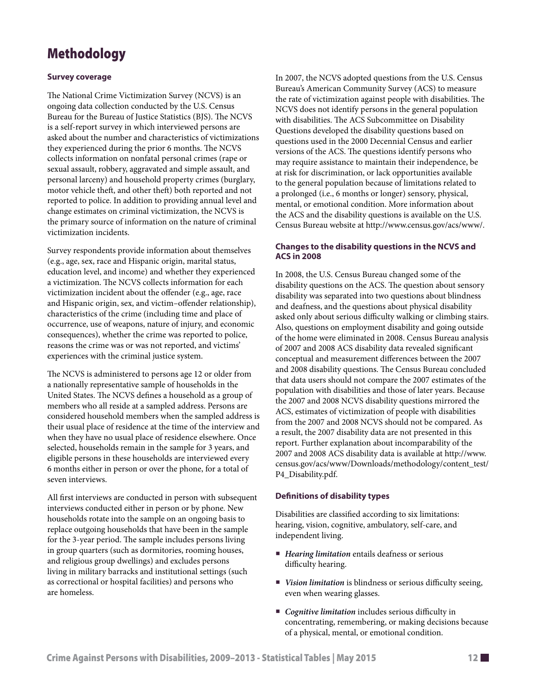# Methodology

#### **Survey coverage**

The National Crime Victimization Survey (NCVS) is an ongoing data collection conducted by the U.S. Census Bureau for the Bureau of Justice Statistics (BJS). The NCVS is a self-report survey in which interviewed persons are asked about the number and characteristics of victimizations they experienced during the prior 6 months. The NCVS collects information on nonfatal personal crimes (rape or sexual assault, robbery, aggravated and simple assault, and personal larceny) and household property crimes (burglary, motor vehicle theft, and other theft) both reported and not reported to police. In addition to providing annual level and change estimates on criminal victimization, the NCVS is the primary source of information on the nature of criminal victimization incidents.

Survey respondents provide information about themselves (e.g., age, sex, race and Hispanic origin, marital status, education level, and income) and whether they experienced a victimization. The NCVS collects information for each victimization incident about the offender (e.g., age, race and Hispanic origin, sex, and victim–offender relationship), characteristics of the crime (including time and place of occurrence, use of weapons, nature of injury, and economic consequences), whether the crime was reported to police, reasons the crime was or was not reported, and victims' experiences with the criminal justice system.

The NCVS is administered to persons age 12 or older from a nationally representative sample of households in the United States. The NCVS defines a household as a group of members who all reside at a sampled address. Persons are considered household members when the sampled address is their usual place of residence at the time of the interview and when they have no usual place of residence elsewhere. Once selected, households remain in the sample for 3 years, and eligible persons in these households are interviewed every 6 months either in person or over the phone, for a total of seven interviews.

All first interviews are conducted in person with subsequent interviews conducted either in person or by phone. New households rotate into the sample on an ongoing basis to replace outgoing households that have been in the sample for the 3-year period. The sample includes persons living in group quarters (such as dormitories, rooming houses, and religious group dwellings) and excludes persons living in military barracks and institutional settings (such as correctional or hospital facilities) and persons who are homeless.

In 2007, the NCVS adopted questions from the U.S. Census Bureau's American Community Survey (ACS) to measure the rate of victimization against people with disabilities. The NCVS does not identify persons in the general population with disabilities. The ACS Subcommittee on Disability Questions developed the disability questions based on questions used in the 2000 Decennial Census and earlier versions of the ACS. The questions identify persons who may require assistance to maintain their independence, be at risk for discrimination, or lack opportunities available to the general population because of limitations related to a prolonged (i.e., 6 months or longer) sensory, physical, mental, or emotional condition. More information about the ACS and the disability questions is available on the U.S. Census Bureau website at [http://www.census.gov/acs/www/.](http://www.census.gov/acs/www/)

#### **Changes to the disability questions in the NCVS and ACS in 2008**

In 2008, the U.S. Census Bureau changed some of the disability questions on the ACS. The question about sensory disability was separated into two questions about blindness and deafness, and the questions about physical disability asked only about serious difficulty walking or climbing stairs. Also, questions on employment disability and going outside of the home were eliminated in 2008. Census Bureau analysis of 2007 and 2008 ACS disability data revealed significant conceptual and measurement differences between the 2007 and 2008 disability questions. The Census Bureau concluded that data users should not compare the 2007 estimates of the population with disabilities and those of later years. Because the 2007 and 2008 NCVS disability questions mirrored the ACS, estimates of victimization of people with disabilities from the 2007 and 2008 NCVS should not be compared. As a result, the 2007 disability data are not presented in this report. Further explanation about incomparability of the 2007 and 2008 ACS disability data is available at [http://www.](http://www.census.gov/acs/www/Downloads/methodology/content_test/P4_Disability.pdf) [census.gov/acs/www/Downloads/methodology/content\\_test/](http://www.census.gov/acs/www/Downloads/methodology/content_test/P4_Disability.pdf) [P4\\_Disability.pdf.](http://www.census.gov/acs/www/Downloads/methodology/content_test/P4_Disability.pdf)

#### **Definitions of disability types**

Disabilities are classified according to six limitations: hearing, vision, cognitive, ambulatory, self-care, and independent living.

- *Hearing limitation* entails deafness or serious difficulty hearing.
- *Vision limitation* is blindness or serious difficulty seeing, even when wearing glasses.
- *Cognitive limitation* includes serious difficulty in concentrating, remembering, or making decisions because of a physical, mental, or emotional condition.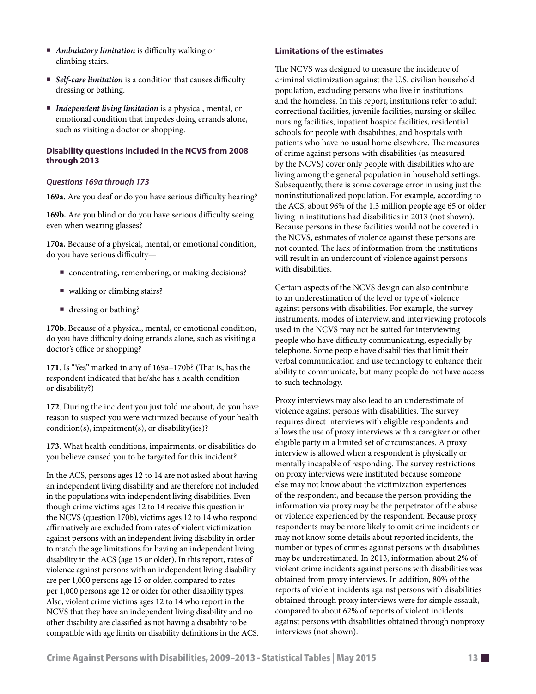- *Ambulatory limitation* is difficulty walking or climbing stairs.
- *Self-care limitation* is a condition that causes difficulty dressing or bathing.
- *Independent living limitation* is a physical, mental, or emotional condition that impedes doing errands alone, such as visiting a doctor or shopping.

#### **Disability questions included in the NCVS from 2008 through 2013**

#### *Questions 169a through 173*

**169a.** Are you deaf or do you have serious difficulty hearing?

**169b.** Are you blind or do you have serious difficulty seeing even when wearing glasses?

**170a.** Because of a physical, mental, or emotional condition, do you have serious difficulty—

- concentrating, remembering, or making decisions?
- walking or climbing stairs?
- dressing or bathing?

**170b**. Because of a physical, mental, or emotional condition, do you have difficulty doing errands alone, such as visiting a doctor's office or shopping?

**171**. Is "Yes" marked in any of 169a–170b? (That is, has the respondent indicated that he/she has a health condition or disability?)

**172**. During the incident you just told me about, do you have reason to suspect you were victimized because of your health condition(s), impairment(s), or disability(ies)?

**173**. What health conditions, impairments, or disabilities do you believe caused you to be targeted for this incident?

In the ACS, persons ages 12 to 14 are not asked about having an independent living disability and are therefore not included in the populations with independent living disabilities. Even though crime victims ages 12 to 14 receive this question in the NCVS (question 170b), victims ages 12 to 14 who respond affirmatively are excluded from rates of violent victimization against persons with an independent living disability in order to match the age limitations for having an independent living disability in the ACS (age 15 or older). In this report, rates of violence against persons with an independent living disability are per 1,000 persons age 15 or older, compared to rates per 1,000 persons age 12 or older for other disability types. Also, violent crime victims ages 12 to 14 who report in the NCVS that they have an independent living disability and no other disability are classified as not having a disability to be compatible with age limits on disability definitions in the ACS.

#### **Limitations of the estimates**

The NCVS was designed to measure the incidence of criminal victimization against the U.S. civilian household population, excluding persons who live in institutions and the homeless. In this report, institutions refer to adult correctional facilities, juvenile facilities, nursing or skilled nursing facilities, inpatient hospice facilities, residential schools for people with disabilities, and hospitals with patients who have no usual home elsewhere. The measures of crime against persons with disabilities (as measured by the NCVS) cover only people with disabilities who are living among the general population in household settings. Subsequently, there is some coverage error in using just the noninstitutionalized population. For example, according to the ACS, about 96% of the 1.3 million people age 65 or older living in institutions had disabilities in 2013 (not shown). Because persons in these facilities would not be covered in the NCVS, estimates of violence against these persons are not counted. The lack of information from the institutions will result in an undercount of violence against persons with disabilities.

Certain aspects of the NCVS design can also contribute to an underestimation of the level or type of violence against persons with disabilities. For example, the survey instruments, modes of interview, and interviewing protocols used in the NCVS may not be suited for interviewing people who have difficulty communicating, especially by telephone. Some people have disabilities that limit their verbal communication and use technology to enhance their ability to communicate, but many people do not have access to such technology.

Proxy interviews may also lead to an underestimate of violence against persons with disabilities. The survey requires direct interviews with eligible respondents and allows the use of proxy interviews with a caregiver or other eligible party in a limited set of circumstances. A proxy interview is allowed when a respondent is physically or mentally incapable of responding. The survey restrictions on proxy interviews were instituted because someone else may not know about the victimization experiences of the respondent, and because the person providing the information via proxy may be the perpetrator of the abuse or violence experienced by the respondent. Because proxy respondents may be more likely to omit crime incidents or may not know some details about reported incidents, the number or types of crimes against persons with disabilities may be underestimated. In 2013, information about 2% of violent crime incidents against persons with disabilities was obtained from proxy interviews. In addition, 80% of the reports of violent incidents against persons with disabilities obtained through proxy interviews were for simple assault, compared to about 62% of reports of violent incidents against persons with disabilities obtained through nonproxy interviews (not shown).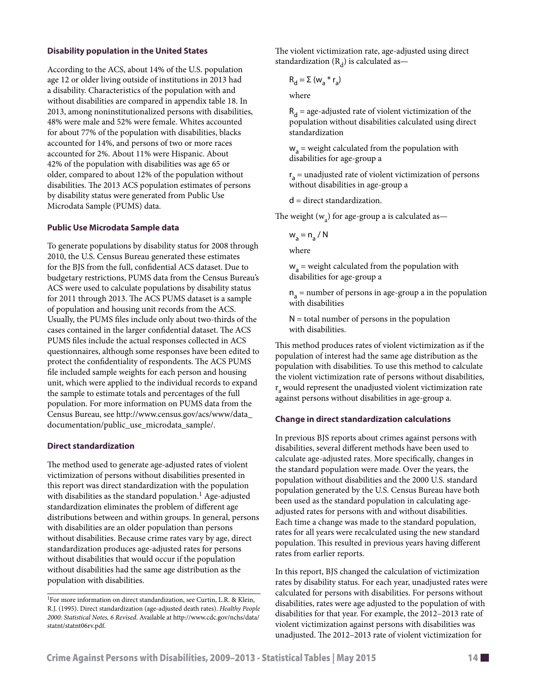#### **Disability population in the United States**

According to the ACS, about 14% of the U.S. population age 12 or older living outside of institutions in 2013 had a disability. Characteristics of the population with and without disabilities are compared in appendix table 18. In 2013, among noninstitutionalized persons with disabilities, 48% were male and 52% were female. Whites accounted for about 77% of the population with disabilities, blacks accounted for 14%, and persons of two or more races accounted for 2%. About 11% were Hispanic. About 42% of the population with disabilities was age 65 or older, compared to about 12% of the population without disabilities. The 2013 ACS population estimates of persons by disability status were generated from Public Use Microdata Sample (PUMS) data.

#### **Public Use Microdata Sample data**

To generate populations by disability status for 2008 through 2010, the U.S. Census Bureau generated these estimates for the BJS from the full, confidential ACS dataset. Due to budgetary restrictions, PUMS data from the Census Bureau's ACS were used to calculate populations by disability status for 2011 through 2013. The ACS PUMS dataset is a sample of population and housing unit records from the ACS. Usually, the PUMS files include only about two-thirds of the cases contained in the larger confidential dataset. The ACS PUMS files include the actual responses collected in ACS questionnaires, although some responses have been edited to protect the confidentiality of respondents. The ACS PUMS file included sample weights for each person and housing unit, which were applied to the individual records to expand the sample to estimate totals and percentages of the full population. For more information on PUMS data from the Census Bureau, see [http://www.census.gov/acs/www/data\\_](http://www.census.gov/acs/www/data_documentation/public_use_microdata_sample/) [documentation/public\\_use\\_microdata\\_sample/.](http://www.census.gov/acs/www/data_documentation/public_use_microdata_sample/)

#### **Direct standardization**

The method used to generate age-adjusted rates of violent victimization of persons without disabilities presented in this report was direct standardization with the population with disabilities as the standard population.<sup>1</sup> Age-adjusted standardization eliminates the problem of different age distributions between and within groups. In general, persons with disabilities are an older population than persons without disabilities. Because crime rates vary by age, direct standardization produces age-adjusted rates for persons without disabilities that would occur if the population without disabilities had the same age distribution as the population with disabilities.

The violent victimization rate, age-adjusted using direct standardization  $(R_d)$  is calculated as—

$$
R_{d} = \Sigma (w_{a} * r_{a})
$$

where

 $R_d$  = age-adjusted rate of violent victimization of the population without disabilities calculated using direct standardization

 $w_a$  = weight calculated from the population with disabilities for age-group a

r <sup>a</sup> = unadjusted rate of violent victimization of persons without disabilities in age-group a

d = direct standardization.

The weight  $(w_a)$  for age-group a is calculated as—

 $w_a = n_a / N$ 

where

 $w_a$  = weight calculated from the population with disabilities for age-group a

 $n_a$  = number of persons in age-group a in the population with disabilities

 $N =$  total number of persons in the population with disabilities.

This method produces rates of violent victimization as if the population of interest had the same age distribution as the population with disabilities. To use this method to calculate the violent victimization rate of persons without disabilities,  $r<sub>a</sub>$  would represent the unadjusted violent victimization rate against persons without disabilities in age-group a.

#### **Change in direct standardization calculations**

In previous BJS reports about crimes against persons with disabilities, several different methods have been used to calculate age-adjusted rates. More specifically, changes in the standard population were made. Over the years, the population without disabilities and the 2000 U.S. standard population generated by the U.S. Census Bureau have both been used as the standard population in calculating ageadjusted rates for persons with and without disabilities. Each time a change was made to the standard population, rates for all years were recalculated using the new standard population. This resulted in previous years having different rates from earlier reports.

In this report, BJS changed the calculation of victimization rates by disability status. For each year, unadjusted rates were calculated for persons with disabilities. For persons without disabilities, rates were age adjusted to the population of with disabilities for that year. For example, the 2012–2013 rate of violent victimization against persons with disabilities was unadjusted. The 2012–2013 rate of violent victimization for

<sup>1</sup>For more information on direct standardization, see Curtin, L.R. & Klein, R.J. (1995). Direct standardization (age-adjusted death rates). *Healthy People 2000: Statistical Notes, 6 Revised*. Available at [http://www.cdc.gov/nchs/data/](http://www.cdc.gov/nchs/data/statnt/statnt06rv.pdf) [statnt/statnt06rv.pdf](http://www.cdc.gov/nchs/data/statnt/statnt06rv.pdf).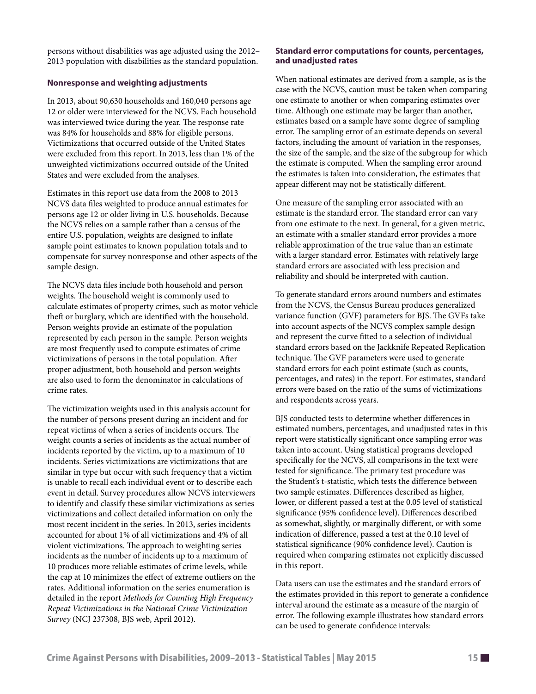persons without disabilities was age adjusted using the 2012– 2013 population with disabilities as the standard population.

#### **Nonresponse and weighting adjustments**

In 2013, about 90,630 households and 160,040 persons age 12 or older were interviewed for the NCVS. Each household was interviewed twice during the year. The response rate was 84% for households and 88% for eligible persons. Victimizations that occurred outside of the United States were excluded from this report. In 2013, less than 1% of the unweighted victimizations occurred outside of the United States and were excluded from the analyses.

Estimates in this report use data from the 2008 to 2013 NCVS data files weighted to produce annual estimates for persons age 12 or older living in U.S. households. Because the NCVS relies on a sample rather than a census of the entire U.S. population, weights are designed to inflate sample point estimates to known population totals and to compensate for survey nonresponse and other aspects of the sample design.

The NCVS data files include both household and person weights. The household weight is commonly used to calculate estimates of property crimes, such as motor vehicle theft or burglary, which are identified with the household. Person weights provide an estimate of the population represented by each person in the sample. Person weights are most frequently used to compute estimates of crime victimizations of persons in the total population. After proper adjustment, both household and person weights are also used to form the denominator in calculations of crime rates.

The victimization weights used in this analysis account for the number of persons present during an incident and for repeat victims of when a series of incidents occurs. The weight counts a series of incidents as the actual number of incidents reported by the victim, up to a maximum of 10 incidents. Series victimizations are victimizations that are similar in type but occur with such frequency that a victim is unable to recall each individual event or to describe each event in detail. Survey procedures allow NCVS interviewers to identify and classify these similar victimizations as series victimizations and collect detailed information on only the most recent incident in the series. In 2013, series incidents accounted for about 1% of all victimizations and 4% of all violent victimizations. The approach to weighting series incidents as the number of incidents up to a maximum of 10 produces more reliable estimates of crime levels, while the cap at 10 minimizes the effect of extreme outliers on the rates. Additional information on the series enumeration is detailed in the report *Methods for Counting High Frequency Repeat Victimizations in the National Crime Victimization Survey* (NCJ 237308, BJS web, April 2012).

#### **Standard error computations for counts, percentages, and unadjusted rates**

When national estimates are derived from a sample, as is the case with the NCVS, caution must be taken when comparing one estimate to another or when comparing estimates over time. Although one estimate may be larger than another, estimates based on a sample have some degree of sampling error. The sampling error of an estimate depends on several factors, including the amount of variation in the responses, the size of the sample, and the size of the subgroup for which the estimate is computed. When the sampling error around the estimates is taken into consideration, the estimates that appear different may not be statistically different.

One measure of the sampling error associated with an estimate is the standard error. The standard error can vary from one estimate to the next. In general, for a given metric, an estimate with a smaller standard error provides a more reliable approximation of the true value than an estimate with a larger standard error. Estimates with relatively large standard errors are associated with less precision and reliability and should be interpreted with caution.

To generate standard errors around numbers and estimates from the NCVS, the Census Bureau produces generalized variance function (GVF) parameters for BJS. The GVFs take into account aspects of the NCVS complex sample design and represent the curve fitted to a selection of individual standard errors based on the Jackknife Repeated Replication technique. The GVF parameters were used to generate standard errors for each point estimate (such as counts, percentages, and rates) in the report. For estimates, standard errors were based on the ratio of the sums of victimizations and respondents across years.

BJS conducted tests to determine whether differences in estimated numbers, percentages, and unadjusted rates in this report were statistically significant once sampling error was taken into account. Using statistical programs developed specifically for the NCVS, all comparisons in the text were tested for significance. The primary test procedure was the Student's t-statistic, which tests the difference between two sample estimates. Differences described as higher, lower, or different passed a test at the 0.05 level of statistical significance (95% confidence level). Differences described as somewhat, slightly, or marginally different, or with some indication of difference, passed a test at the 0.10 level of statistical significance (90% confidence level). Caution is required when comparing estimates not explicitly discussed in this report.

Data users can use the estimates and the standard errors of the estimates provided in this report to generate a confidence interval around the estimate as a measure of the margin of error. The following example illustrates how standard errors can be used to generate confidence intervals: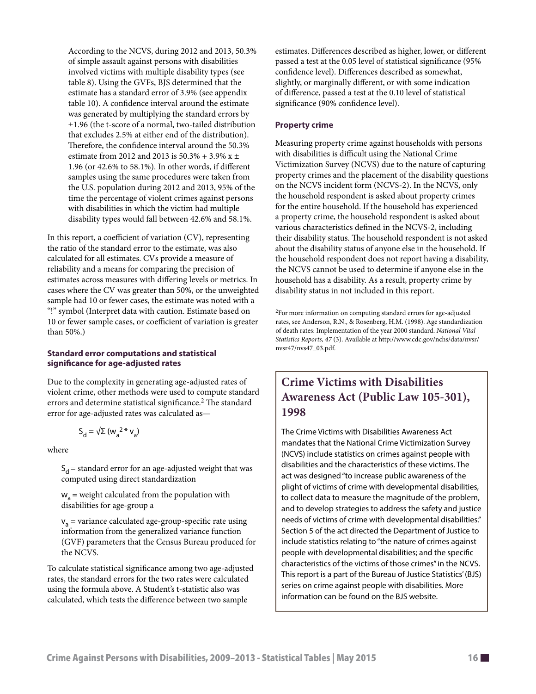According to the NCVS, during 2012 and 2013, 50.3% of simple assault against persons with disabilities involved victims with multiple disability types (see table 8). Using the GVFs, BJS determined that the estimate has a standard error of 3.9% (see appendix table 10). A confidence interval around the estimate was generated by multiplying the standard errors by ±1.96 (the t-score of a normal, two-tailed distribution that excludes 2.5% at either end of the distribution). Therefore, the confidence interval around the 50.3% estimate from 2012 and 2013 is  $50.3% + 3.9% x \pm$ 1.96 (or 42.6% to 58.1%). In other words, if different samples using the same procedures were taken from the U.S. population during 2012 and 2013, 95% of the time the percentage of violent crimes against persons with disabilities in which the victim had multiple disability types would fall between 42.6% and 58.1%.

In this report, a coefficient of variation (CV), representing the ratio of the standard error to the estimate, was also calculated for all estimates. CVs provide a measure of reliability and a means for comparing the precision of estimates across measures with differing levels or metrics. In cases where the CV was greater than 50%, or the unweighted sample had 10 or fewer cases, the estimate was noted with a "!" symbol (Interpret data with caution. Estimate based on 10 or fewer sample cases, or coefficient of variation is greater than 50%.)

#### **Standard error computations and statistical significance for age-adjusted rates**

Due to the complexity in generating age-adjusted rates of violent crime, other methods were used to compute standard errors and determine statistical significance.<sup>2</sup> The standard error for age-adjusted rates was calculated as—

$$
\boldsymbol{S}_d = \sqrt{\boldsymbol{\Sigma}} \; (\boldsymbol{w}_a{}^2 \ast \boldsymbol{v}_a)
$$

where

 $S_d$  = standard error for an age-adjusted weight that was computed using direct standardization

 $w<sub>2</sub>$  = weight calculated from the population with disabilities for age-group a

 $v_a$  = variance calculated age-group-specific rate using information from the generalized variance function (GVF) parameters that the Census Bureau produced for the NCVS.

To calculate statistical significance among two age-adjusted rates, the standard errors for the two rates were calculated using the formula above. A Student's t-statistic also was calculated, which tests the difference between two sample

estimates. Differences described as higher, lower, or different passed a test at the 0.05 level of statistical significance (95% confidence level). Differences described as somewhat, slightly, or marginally different, or with some indication of difference, passed a test at the 0.10 level of statistical significance (90% confidence level).

#### **Property crime**

Measuring property crime against households with persons with disabilities is difficult using the National Crime Victimization Survey (NCVS) due to the nature of capturing property crimes and the placement of the disability questions on the NCVS incident form (NCVS-2). In the NCVS, only the household respondent is asked about property crimes for the entire household. If the household has experienced a property crime, the household respondent is asked about various characteristics defined in the NCVS-2, including their disability status. The household respondent is not asked about the disability status of anyone else in the household. If the household respondent does not report having a disability, the NCVS cannot be used to determine if anyone else in the household has a disability. As a result, property crime by disability status in not included in this report.

2For more information on computing standard errors for age-adjusted rates, see Anderson, R.N., & Rosenberg, H.M. (1998). Age standardization of death rates: Implementation of the year 2000 standard. *National Vital Statistics Reports, 47* (3). Available at [http://www.cdc.gov/nchs/data/nvsr/](http://www.cdc.gov/nchs/data/nvsr/nvsr47/nvs47_03.pdf) [nvsr47/nvs47\\_03.pdf.](http://www.cdc.gov/nchs/data/nvsr/nvsr47/nvs47_03.pdf)

### **Crime Victims with Disabilities Awareness Act (Public Law 105-301), 1998**

The Crime Victims with Disabilities Awareness Act mandates that the National Crime Victimization Survey (NCVS) include statistics on crimes against people with disabilities and the characteristics of these victims. The act was designed "to increase public awareness of the plight of victims of crime with developmental disabilities, to collect data to measure the magnitude of the problem, and to develop strategies to address the safety and justice needs of victims of crime with developmental disabilities." Section 5 of the act directed the Department of Justice to include statistics relating to "the nature of crimes against people with developmental disabilities; and the specific characteristics of the victims of those crimes" in the NCVS. This report is a part of the Bureau of Justice Statistics' (BJS) series on crime against people with disabilities. More information can be found on the BJS website.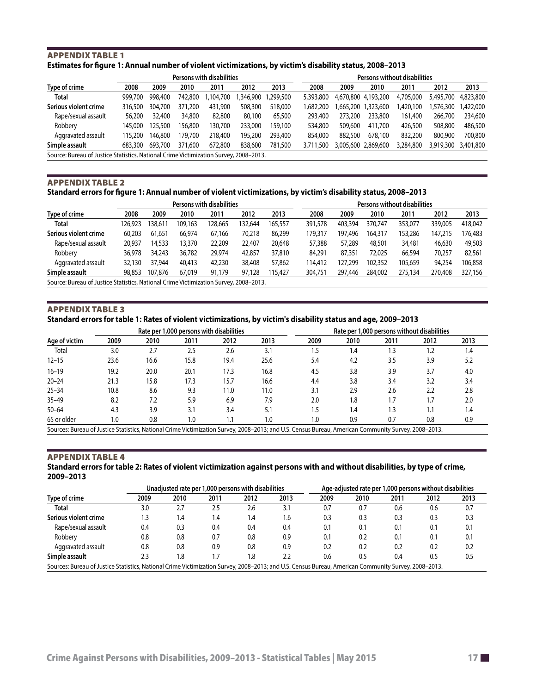#### <span id="page-16-0"></span>Appendix table 1 **Estimates for figure 1: Annual number of violent victimizations, by victim's disability status, 2008–2013**

|                       |                                                                                       | Persons with disabilities |         |           |          |          |           | Persons without disabilities |                     |           |           |           |
|-----------------------|---------------------------------------------------------------------------------------|---------------------------|---------|-----------|----------|----------|-----------|------------------------------|---------------------|-----------|-----------|-----------|
| Type of crime         | 2008                                                                                  | 2009                      | 2010    | 2011      | 2012     | 2013     | 2008      | 2009                         | 2010                | 2011      | 2012      | 2013      |
| <b>Total</b>          | 999.700                                                                               | 998.400                   | 742,800 | 1,104,700 | .346.900 | .299.500 | 5,393,800 | 4,670,800 4,193,200          |                     | 4,705,000 | 5,495,700 | 4,823,800 |
| Serious violent crime | 316.500                                                                               | 304,700                   | 371,200 | 431,900   | 508,300  | 518,000  | 1.682.200 |                              | 665,200 1,323,600   | ,420,100  | .576.300  | 1,422,000 |
| Rape/sexual assault   | 56,200                                                                                | 32.400                    | 34,800  | 82,800    | 80,100   | 65,500   | 293,400   | 273,200                      | 233,800             | 161,400   | 266,700   | 234,600   |
| Robbery               | 145.000                                                                               | 125,500                   | 156.800 | 130,700   | 233,000  | 159,100  | 534,800   | 509,600                      | 411,700             | 426,500   | 508,800   | 486,500   |
| Aggravated assault    | 115,200                                                                               | 146.800                   | 179.700 | 218,400   | 195,200  | 293,400  | 854,000   | 882,500                      | 678,100             | 832,200   | 800,900   | 700,800   |
| Simple assault        | 683,300                                                                               | 693,700                   | 371,600 | 672,800   | 838,600  | 781,500  | 3.711.500 |                              | 3,005,600 2,869,600 | 3,284,800 | 3,919,300 | 3,401,800 |
|                       | Source: Bureau of Justice Statistics, National Crime Victimization Survey, 2008-2013. |                           |         |           |          |          |           |                              |                     |           |           |           |

#### Appendix table 2

#### **Standard errors for figure 1: Annual number of violent victimizations, by victim's disability status, 2008–2013**

|                       | Persons with disabilities                                                             |         |         |        |         |         | Persons without disabilities |         |         |         |         |         |
|-----------------------|---------------------------------------------------------------------------------------|---------|---------|--------|---------|---------|------------------------------|---------|---------|---------|---------|---------|
| Type of crime         | 2008                                                                                  | 2009    | 2010    | 2011   | 2012    | 2013    | 2008                         | 2009    | 2010    | 2011    | 2012    | 2013    |
| <b>Total</b>          | 126.923                                                                               | 38,611  | 109,163 | 28,665 | 132,644 | 165,557 | 391,578                      | 403,394 | 370,747 | 353,077 | 339,005 | 418.042 |
| Serious violent crime | 60,203                                                                                | 61,651  | 66.974  | 67.166 | 70,218  | 86,299  | 179.317                      | 197.496 | 164.317 | 153.286 | 147.215 | 176.483 |
| Rape/sexual assault   | 20,937                                                                                | 14,533  | 13,370  | 22,209 | 22,407  | 20,648  | 57,388                       | 57,289  | 48,501  | 34,481  | 46,630  | 49,503  |
| Robbery               | 36,978                                                                                | 34,243  | 36.782  | 29,974 | 42,857  | 37,810  | 84,291                       | 87,351  | 72,025  | 66,594  | 70.257  | 82,561  |
| Aggravated assault    | 32,130                                                                                | 37.944  | 40,413  | 42,230 | 38,408  | 57,862  | 114,412                      | 127.299 | 102,352 | 105.659 | 94.254  | 106.858 |
| Simple assault        | 98,853                                                                                | 107.876 | 67,019  | 91.179 | 97,128  | 115.427 | 304,751                      | 297.446 | 284,002 | 275,134 | 270,408 | 327,156 |
|                       | Source: Bureau of Justice Statistics, National Crime Victimization Survey, 2008-2013. |         |         |        |         |         |                              |         |         |         |         |         |

#### Appendix table 3

**Standard errors for table 1: Rates of violent victimizations, by victim's disability status and age, 2009–2013**

| Rate per 1,000 persons with disabilities                                                                                                             |      |      |      |      |      |      | Rate per 1,000 persons without disabilities |      |      |      |  |
|------------------------------------------------------------------------------------------------------------------------------------------------------|------|------|------|------|------|------|---------------------------------------------|------|------|------|--|
| Age of victim                                                                                                                                        | 2009 | 2010 | 2011 | 2012 | 2013 | 2009 | 2010                                        | 2011 | 2012 | 2013 |  |
| Total                                                                                                                                                | 3.0  | 2.7  | 2.5  | 2.6  | 3.1  | .5   | ۱.4                                         | 1.3  | 2.ا  | 1.4  |  |
| $12 - 15$                                                                                                                                            | 23.6 | 16.6 | 15.8 | 19.4 | 25.6 | 5.4  | 4.2                                         | 3.5  | 3.9  | 5.2  |  |
| $16 - 19$                                                                                                                                            | 19.2 | 20.0 | 20.1 | 17.3 | 16.8 | 4.5  | 3.8                                         | 3.9  | 3.7  | 4.0  |  |
| $20 - 24$                                                                                                                                            | 21.3 | 15.8 | 17.3 | 15.7 | 16.6 | 4.4  | 3.8                                         | 3.4  | 3.2  | 3.4  |  |
| $25 - 34$                                                                                                                                            | 10.8 | 8.6  | 9.3  | 11.0 | 11.0 | 3.1  | 2.9                                         | 2.6  | 2.2  | 2.8  |  |
| $35 - 49$                                                                                                                                            | 8.2  | 7.2  | 5.9  | 6.9  | 7.9  | 2.0  | 1.8                                         | 1.7  |      | 2.0  |  |
| $50 - 64$                                                                                                                                            | 4.3  | 3.9  | 3.1  | 3.4  | 5.1  | 1.5  | 1.4                                         | 1.3  |      | 1.4  |  |
| 65 or older                                                                                                                                          | 1.0  | 0.8  | 1.0  |      | 1.0  | 1.0  | 0.9                                         | 0.7  | 0.8  | 0.9  |  |
| Sources: Bureau of Justice Statistics, National Crime Victimization Survey, 2008–2013; and U.S. Census Bureau, American Community Survey, 2008–2013. |      |      |      |      |      |      |                                             |      |      |      |  |

#### Appendix table 4

#### **Standard errors for table 2: [Rates of violent victimization against persons with and without disabilities, by type of crime,](#page-5-0)  [2009–2013](#page-5-0)**

|                                                                                                                                                      |      | Unadjusted rate per 1,000 persons with disabilities |      |      |      | Age-adjusted rate per 1,000 persons without disabilities |      |      |      |      |
|------------------------------------------------------------------------------------------------------------------------------------------------------|------|-----------------------------------------------------|------|------|------|----------------------------------------------------------|------|------|------|------|
| Type of crime                                                                                                                                        | 2009 | 2010                                                | 2011 | 2012 | 2013 | 2009                                                     | 2010 | 2011 | 2012 | 2013 |
| Total                                                                                                                                                | 3.0  | 2.7                                                 | 2.5  | 2.6  | 3.1  | 0.7                                                      | 0.7  | 0.6  | 0.6  | 0.7  |
| Serious violent crime                                                                                                                                |      | 1.4                                                 | 1.4  | 1.4  | 1.6  | 0.3                                                      | 0.3  | 0.3  | 0.3  | 0.3  |
| Rape/sexual assault                                                                                                                                  | 0.4  | 0.3                                                 | 0.4  | 0.4  | 0.4  | 0.1                                                      | 0.1  | 0.1  | 0.1  | 0.1  |
| Robbery                                                                                                                                              | 0.8  | 0.8                                                 | 0.7  | 0.8  | 0.9  | 0.1                                                      | 0.2  | 0.1  | 0.1  | 0.1  |
| Aggravated assault                                                                                                                                   | 0.8  | 0.8                                                 | 0.9  | 0.8  | 0.9  | 0.2                                                      | 0.2  | 0.2  | 0.2  | 0.2  |
| Simple assault                                                                                                                                       | 2.3  | 1.8                                                 |      | 1.8  | 2.2  | 0.6                                                      | 0.5  | 0.4  | 0.5  | 0.5  |
| Sources: Bureau of Justice Statistics, National Crime Victimization Survey, 2008-2013; and U.S. Census Bureau, American Community Survey, 2008-2013. |      |                                                     |      |      |      |                                                          |      |      |      |      |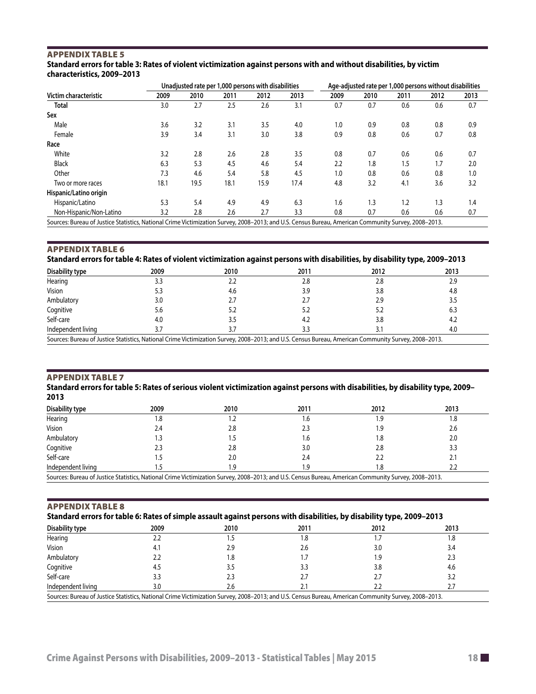#### <span id="page-17-0"></span>Appendix table 5 **Standard errors for table 3: Rates of violent victimization against persons with and without disabilities, by victim characteristics, 2009–2013**

|                                                                                                                                                     | Unadjusted rate per 1,000 persons with disabilities | Age-adjusted rate per 1,000 persons without disabilities |      |      |      |      |      |      |      |      |
|-----------------------------------------------------------------------------------------------------------------------------------------------------|-----------------------------------------------------|----------------------------------------------------------|------|------|------|------|------|------|------|------|
| Victim characteristic                                                                                                                               | 2009                                                | 2010                                                     | 2011 | 2012 | 2013 | 2009 | 2010 | 2011 | 2012 | 2013 |
| <b>Total</b>                                                                                                                                        | 3.0                                                 | 2.7                                                      | 2.5  | 2.6  | 3.1  | 0.7  | 0.7  | 0.6  | 0.6  | 0.7  |
| Sex                                                                                                                                                 |                                                     |                                                          |      |      |      |      |      |      |      |      |
| Male                                                                                                                                                | 3.6                                                 | 3.2                                                      | 3.1  | 3.5  | 4.0  | 1.0  | 0.9  | 0.8  | 0.8  | 0.9  |
| Female                                                                                                                                              | 3.9                                                 | 3.4                                                      | 3.1  | 3.0  | 3.8  | 0.9  | 0.8  | 0.6  | 0.7  | 0.8  |
| Race                                                                                                                                                |                                                     |                                                          |      |      |      |      |      |      |      |      |
| White                                                                                                                                               | 3.2                                                 | 2.8                                                      | 2.6  | 2.8  | 3.5  | 0.8  | 0.7  | 0.6  | 0.6  | 0.7  |
| <b>Black</b>                                                                                                                                        | 6.3                                                 | 5.3                                                      | 4.5  | 4.6  | 5.4  | 2.2  | 1.8  | 1.5  | 1.7  | 2.0  |
| Other                                                                                                                                               | 7.3                                                 | 4.6                                                      | 5.4  | 5.8  | 4.5  | 1.0  | 0.8  | 0.6  | 0.8  | 1.0  |
| Two or more races                                                                                                                                   | 18.1                                                | 19.5                                                     | 18.1 | 15.9 | 17.4 | 4.8  | 3.2  | 4.1  | 3.6  | 3.2  |
| Hispanic/Latino origin                                                                                                                              |                                                     |                                                          |      |      |      |      |      |      |      |      |
| Hispanic/Latino                                                                                                                                     | 5.3                                                 | 5.4                                                      | 4.9  | 4.9  | 6.3  | 1.6  | 1.3  | 1.2  | 1.3  | 1.4  |
| Non-Hispanic/Non-Latino                                                                                                                             | 3.2                                                 | 2.8                                                      | 2.6  | 2.7  | 3.3  | 0.8  | 0.7  | 0.6  | 0.6  | 0.7  |
| Sources: Rureau of Justice Statistics, National Crime Victimization Survey, 2008-2013; and U.S. Census Rureau, American Community Survey, 2008-2013 |                                                     |                                                          |      |      |      |      |      |      |      |      |

s: Bureau of Justice Statistics, National Crime Victimization Survey, 2008–2013; and U.S. Census Bureau, American Community Surve

#### Appendix table 6 **Standard errors for table 4: Rates of violent victimization against persons with disabilities, by disability type, 2009–2013**

| Disability type                                                                                                                                     | 2009 | 2010 | 2011 | 2012 | 2013 |  |
|-----------------------------------------------------------------------------------------------------------------------------------------------------|------|------|------|------|------|--|
| Hearing                                                                                                                                             | 3.3  | 2.2  | 2.8  | 2.8  | 2.9  |  |
| Vision                                                                                                                                              | 5.3  | 4.6  | 3.9  | 3.8  | 4.8  |  |
| Ambulatory                                                                                                                                          | 3.0  |      |      | 2.9  | 3.5  |  |
| Cognitive                                                                                                                                           | 5.6  | 5.2  | 5.2  | 5.2  | 6.3  |  |
| Self-care                                                                                                                                           | 4.0  | 3.5  | 4.2  | 3.8  | 4.2  |  |
| Independent living                                                                                                                                  |      |      |      |      | 4.0  |  |
| Sources: Rureau of Justice Statistics, National Crime Victimization Survey, 2008-2013; and U.S. Census Rureau, American Community Survey, 2008-2013 |      |      |      |      |      |  |

Sources: Bureau of Justice Statistics, National Crime Victimization Survey, 2008–2013; and U.S. Census Bureau, American Community Survey, 2008–2013.

#### Appendix table 7

**Standard errors for table 5: Rates of serious violent victimization against persons with disabilities, by disability type, 2009– 2013**

| Disability type                                                                                                                                      | 2009 | 2010 | 2011 | 2012 | 2013 |
|------------------------------------------------------------------------------------------------------------------------------------------------------|------|------|------|------|------|
| Hearing                                                                                                                                              | 1.8  |      | ه.،  | ر ا  |      |
| Vision                                                                                                                                               | 2.4  | 2.8  |      | 1.9  | 2.6  |
| Ambulatory                                                                                                                                           |      |      | l.b  | 1.8  | 2.0  |
| Cognitive                                                                                                                                            |      | 2.8  | 3.0  | 2.8  |      |
| Self-care                                                                                                                                            |      | 2.0  | 2.4  | 2.2  | z.   |
| Independent living                                                                                                                                   |      | .9   | .9   | 8. ا |      |
| Sources: Bureau of Justice Statistics, National Crime Victimization Survey, 2008-2013; and U.S. Census Bureau, American Community Survey, 2008-2013. |      |      |      |      |      |

#### Appendix table 8

**Standard errors for table 6: Rates of simple assault against persons with disabilities, by disability type, 2009–2013**

| Disability type                                                                                                                                      | 2009 | 2010 | 2011 | 2012 | 2013 |  |  |
|------------------------------------------------------------------------------------------------------------------------------------------------------|------|------|------|------|------|--|--|
| Hearing                                                                                                                                              |      |      | .8   |      | 1.8  |  |  |
| Vision                                                                                                                                               | 4.,  | 2.9  | 2.6  | 3.0  | 3.4  |  |  |
| Ambulatory                                                                                                                                           |      | . 8  |      | و.,  | 2.3  |  |  |
| Cognitive                                                                                                                                            | 4.5  |      |      | 3.8  | 4.6  |  |  |
| Self-care                                                                                                                                            |      | 2.3  |      |      |      |  |  |
| Independent living                                                                                                                                   |      |      |      |      |      |  |  |
| Sources: Bureau of Justice Statistics, National Crime Victimization Survey, 2008-2013; and U.S. Census Bureau, American Community Survey, 2008-2013. |      |      |      |      |      |  |  |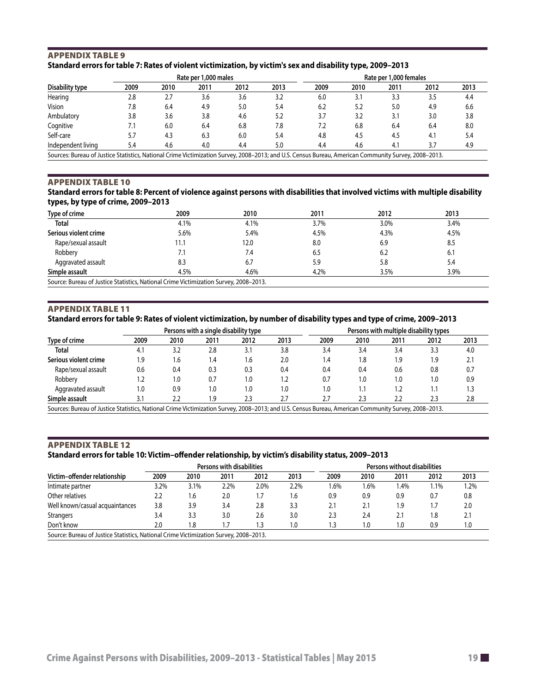#### <span id="page-18-0"></span>Appendix table 9 **Standard errors for table 7: Rates of violent victimization, by victim's sex and disability type, 2009–2013**

|                                                                                                                                                      |      |      | Rate per 1,000 males |      |      | Rate per 1,000 females |      |      |      |      |
|------------------------------------------------------------------------------------------------------------------------------------------------------|------|------|----------------------|------|------|------------------------|------|------|------|------|
| Disability type                                                                                                                                      | 2009 | 2010 | 2011                 | 2012 | 2013 | 2009                   | 2010 | 2011 | 2012 | 2013 |
| Hearing                                                                                                                                              | 2.8  | 2.7  | 3.6                  | 3.6  | 3.2  | 6.0                    |      | 3.3  | 3.5  | 4.4  |
| <b>Vision</b>                                                                                                                                        | 7.8  | 6.4  | 4.9                  | 5.0  | 5.4  | 6.2                    | 5.2  | 5.0  | 4.9  | 6.6  |
| Ambulatory                                                                                                                                           | 3.8  | 3.6  | 3.8                  | 4.6  | 5.2  | 3.7                    | 3.2  | 3.1  | 3.0  | 3.8  |
| Cognitive                                                                                                                                            | 7.1  | 6.0  | 6.4                  | 6.8  | 7.8  | 7.2                    | 6.8  | 6.4  | 6.4  | 8.0  |
| Self-care                                                                                                                                            | 5.7  | 4.3  | 6.3                  | 6.0  | 5.4  | 4.8                    | 4.5  | 4.5  | 4.1  | 5.4  |
| Independent living                                                                                                                                   | 5.4  | 4.6  | 4.0                  | 4.4  | 5.0  | 4.4                    | 4.6  | 4.1  | 3.7  | 4.9  |
| Sources: Bureau of Justice Statistics, National Crime Victimization Survey, 2008-2013; and U.S. Census Bureau, American Community Survey, 2008-2013. |      |      |                      |      |      |                        |      |      |      |      |

#### Appendix table 10

#### **Standard errors for table 8: Percent of violence against persons with disabilities that involved victims with multiple disability types, by type of crime, 2009–2013**

| Type of crime                                                                         | 2009           | 2010 | 2011 | 2012 | 2013 |
|---------------------------------------------------------------------------------------|----------------|------|------|------|------|
| <b>Total</b>                                                                          | 4.1%           | 4.1% | 3.7% | 3.0% | 3.4% |
| Serious violent crime                                                                 | 5.6%           | 5.4% | 4.5% | 4.3% | 4.5% |
| Rape/sexual assault                                                                   | 11.1           | 12.0 | 8.0  | 6.9  | 8.5  |
| Robbery                                                                               | $\overline{L}$ | 7.4  | 6.5  | 6.2  | 6.1  |
| Aggravated assault                                                                    | 8.3            | 6.7  | 5.9  | 5.8  | 5.4  |
| Simple assault                                                                        | 4.5%           | 4.6% | 4.2% | 3.5% | 3.9% |
| Source: Bureau of Justice Statistics, National Crime Victimization Survey, 2008–2013. |                |      |      |      |      |

#### Appendix table 11

#### **Standard errors for table 9: Rates of violent victimization, by number of disability types and type of crime, 2009–2013**

|                                                                                                                                                      |      |      | Persons with a single disability type |      |      |      | Persons with multiple disability types |      |      |      |  |  |
|------------------------------------------------------------------------------------------------------------------------------------------------------|------|------|---------------------------------------|------|------|------|----------------------------------------|------|------|------|--|--|
| Type of crime                                                                                                                                        | 2009 | 2010 | 2011                                  | 2012 | 2013 | 2009 | 2010                                   | 2011 | 2012 | 2013 |  |  |
| Total                                                                                                                                                | 4.1  | 3.2  | 2.8                                   | 3.1  | 3.8  | 3.4  | 3.4                                    | 3.4  | 3.3  | 4.0  |  |  |
| Serious violent crime                                                                                                                                | 9،   | 1.6  | 1.4                                   | 1.6  | 2.0  | 1.4  | 1.8                                    | 1.9  | 1.9  | 2.1  |  |  |
| Rape/sexual assault                                                                                                                                  | 0.6  | 0.4  | 0.3                                   | 0.3  | 0.4  | 0.4  | 0.4                                    | 0.6  | 0.8  | 0.7  |  |  |
| Robbery                                                                                                                                              |      | 1.0  | 0.7                                   | 0. ا | 1.2  | 0.7  | 1.0                                    | 1.0  | 1.0  | 0.9  |  |  |
| Aggravated assault                                                                                                                                   | 0. ا | 0.9  | $\cdot$ 0.                            | 0. ا | 1.0  | 1.0  | 1.1                                    | 1.2  | 1.1  | 1.3  |  |  |
| Simple assault                                                                                                                                       |      | 2.2  | .9                                    | 2.3  | 2.7  | 2.7  | 2.3                                    | 2.2  | 2.3  | 2.8  |  |  |
| Sources: Bureau of Justice Statistics, National Crime Victimization Survey, 2008–2013; and U.S. Census Bureau, American Community Survey, 2008–2013. |      |      |                                       |      |      |      |                                        |      |      |      |  |  |

#### Appendix table 12

#### **Standard errors for table 10: Victim–offender relationship, by victim's disability status, 2009–2013**

|                                                                                       |      |      | Persons with disabilities |            |      |      |      | Persons without disabilities |      |      |
|---------------------------------------------------------------------------------------|------|------|---------------------------|------------|------|------|------|------------------------------|------|------|
| Victim-offender relationship                                                          | 2009 | 2010 | 2011                      | 2012       | 2013 | 2009 | 2010 | 2011                         | 2012 | 2013 |
| Intimate partner                                                                      | 3.2% | 3.1% | 2.2%                      | 2.0%       | 2.2% | 1.6% | 1.6% | l.4%                         | 1.1% | 1.2% |
| Other relatives                                                                       | 2.2  | 1.6  | 2.0                       | ۱.7        | 1.6  | 0.9  | 0.9  | 0.9                          | 0.7  | 0.8  |
| Well known/casual acquaintances                                                       | 3.8  | 3.9  | 3.4                       | 2.8        | 3.3  | 2.1  | 2.1  | 1.9                          | ۱.7  | 2.0  |
| <b>Strangers</b>                                                                      | 3.4  | 3.3  | 3.0                       | 2.6        | 3.0  | 2.3  | 2.4  | 2.1                          | 1.8  | 2.1  |
| Don't know                                                                            | 2.0  | 8.ا  | 1.7                       | $\cdot$ .3 | 1.0  | 1.3  | 1.0  | 1.0                          | 0.9  | 1.0  |
| Source: Bureau of Justice Statistics, National Crime Victimization Survey, 2008–2013. |      |      |                           |            |      |      |      |                              |      |      |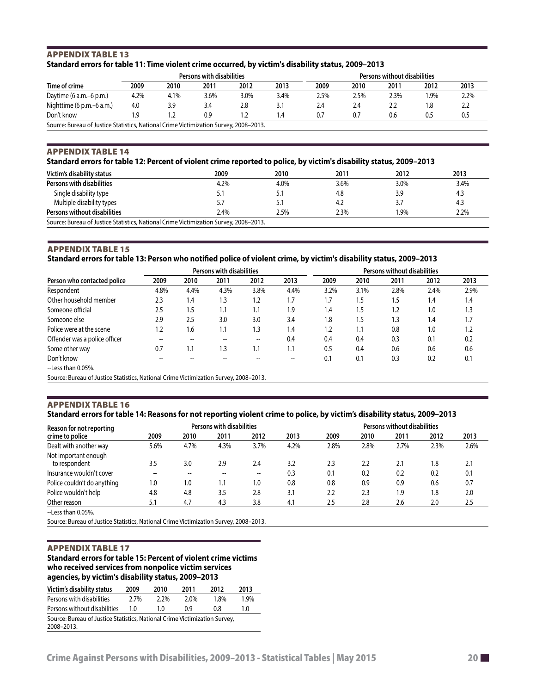#### <span id="page-19-0"></span>Appendix table 13 **Standard errors for table 11: Time violent crime occurred, by victim's disability status, 2009–2013**

|                           |      |      | Persons with disabilities |      |               | Persons without disabilities |      |      |        |      |
|---------------------------|------|------|---------------------------|------|---------------|------------------------------|------|------|--------|------|
| Time of crime             | 2009 | 2010 | 2011                      | 2012 | 2013          | 2009                         | 2010 | 2011 | 2012   | 2013 |
| Daytime $(6 a.m.-6 p.m.)$ | 4.2% | 4.1% | 3.6%                      | 3.0% | 3.4%          | 2.5%                         | 2.5% | 2.3% | $.9\%$ | 2.2% |
| Nighttime (6 p.m.–6 a.m.) | 4.0  | 3.9  | 3.4                       | 2.8  | 3.1           | 2.4                          | 2.4  |      | 8،     |      |
| Don't know                | و.١  | 1.2  | 0.9                       | 2. ا | $\mathcal{A}$ | 0.7                          | 0.7  | 0.6  | 0.5    | 0.5  |

#### Appendix table 14

#### **Standard errors for table 12: Percent of violent crime reported to police, by victim's disability status, 2009–2013**

| Victim's disability status                                                            | 2009 | 2010 | 2011 | 2012 | 2013 |
|---------------------------------------------------------------------------------------|------|------|------|------|------|
| Persons with disabilities                                                             | 4.2% | 4.0% | 3.6% | 3.0% | 3.4% |
| Single disability type                                                                |      | 5.1  | 4.8  | 3.9  | 4.3  |
| Multiple disability types                                                             | 5.7  |      | 4.2  | 3.7  | 4.3  |
| Persons without disabilities                                                          | 2.4% | 2.5% | 2.3% | 1.9% | 2.2% |
| Source: Bureau of Justice Statistics, National Crime Victimization Survey, 2008–2013. |      |      |      |      |      |

#### Appendix table 15

#### **Standard errors for table 13: Person who notified police of violent crime, by victim's disability status, 2009–2013**

|                               | <b>Persons with disabilities</b> |      |      |      |      | Persons without disabilities |      |      |      |      |
|-------------------------------|----------------------------------|------|------|------|------|------------------------------|------|------|------|------|
| Person who contacted police   | 2009                             | 2010 | 2011 | 2012 | 2013 | 2009                         | 2010 | 2011 | 2012 | 2013 |
| Respondent                    | 4.8%                             | 4.4% | 4.3% | 3.8% | 4.4% | 3.2%                         | 3.1% | 2.8% | 2.4% | 2.9% |
| Other household member        | 2.3                              | 1.4  | 1.3  | 1.2  | 1.7  | 1.7                          | . .5 | 1.5  | 1.4  | 1.4  |
| Someone official              | 2.5                              | 1.5  | 1.1  | 1.1  | 1.9  | 1.4                          | . 5  | 1.2  | 1.0  | 1.3  |
| Someone else                  | 2.9                              | 2.5  | 3.0  | 3.0  | 3.4  | 1.8                          | 5.،  | 1.3  | 1.4  | 1.7  |
| Police were at the scene      | 1.2                              | 1.6  | 1.1  | 1.3  | 1.4  | 1.2                          | ۱.1  | 0.8  | 1.0  | 1.2  |
| Offender was a police officer |                                  |      |      |      | 0.4  | 0.4                          | 0.4  | 0.3  | 0.1  | 0.2  |
| Some other way                | 0.7                              | 1.1  | 3.ا  | 1.1  | 1.1  | 0.5                          | 0.4  | 0.6  | 0.6  | 0.6  |
| Don't know                    | --                               |      |      |      |      | 0.1                          | 0.1  | 0.3  | 0.2  | 0.1  |
| $\blacksquare$                |                                  |      |      |      |      |                              |      |      |      |      |

--Less than 0.05%.

Source: Bureau of Justice Statistics, National Crime Victimization Survey, 2008–2013.

#### Appendix table 16 **Standard errors for table 14: Reasons for not reporting violent crime to police, by victim's disability status, 2009–2013**

| Reason for not reporting              |                         |      | Persons with disabilities |      |      | Persons without disabilities |      |      |      |      |
|---------------------------------------|-------------------------|------|---------------------------|------|------|------------------------------|------|------|------|------|
| crime to police                       | 2009                    | 2010 | 2011                      | 2012 | 2013 | 2009                         | 2010 | 2011 | 2012 | 2013 |
| Dealt with another way                | 5.6%                    | 4.7% | 4.3%                      | 3.7% | 4.2% | 2.8%                         | 2.8% | 2.7% | 2.3% | 2.6% |
| Not important enough<br>to respondent | 3.5                     | 3.0  | 2.9                       | 2.4  | 3.2  | 2.3                          | 2.2  | 2.1  | 1.8  | 2.1  |
| Insurance wouldn't cover              | $- -$                   |      |                           |      | 0.3  | 0.1                          | 0.2  | 0.2  | 0.2  | 0.1  |
| Police couldn't do anything           | $\mathsf{I}.\mathsf{O}$ | 1.0  | 1.1                       | 1.0  | 0.8  | 0.8                          | 0.9  | 0.9  | 0.6  | 0.7  |
| Police wouldn't help                  | 4.8                     | 4.8  | 3.5                       | 2.8  | 3.1  | 2.2                          | 2.3  | 1.9  | 1.8  | 2.0  |
| Other reason                          | 5.1                     | 4.7  | 4.3                       | 3.8  | 4.1  | 2.5                          | 2.8  | 2.6  | 2.0  | 2.5  |
| $L = L = L = L \cap \Gamma$           |                         |      |                           |      |      |                              |      |      |      |      |

--Less than 0.05%.

Source: Bureau of Justice Statistics, National Crime Victimization Survey, 2008–2013.

#### Appendix table 17

#### **Standard errors for table 15: Percent of violent crime victims who received services from nonpolice victim services agencies, by victim's disability status, 2009–2013**

| Victim's disability status                                                               | 2009 | 2010 | 2011 | 2012 | 2013 |
|------------------------------------------------------------------------------------------|------|------|------|------|------|
| Persons with disabilities                                                                | 2.7% | 2.2% | 2.0% | 1.8% | 1.9% |
| Persons without disabilities                                                             | 10   | 1.0  | በ ዓ  | 0.8  | 1.0  |
| Source: Bureau of Justice Statistics, National Crime Victimization Survey,<br>2008-2013. |      |      |      |      |      |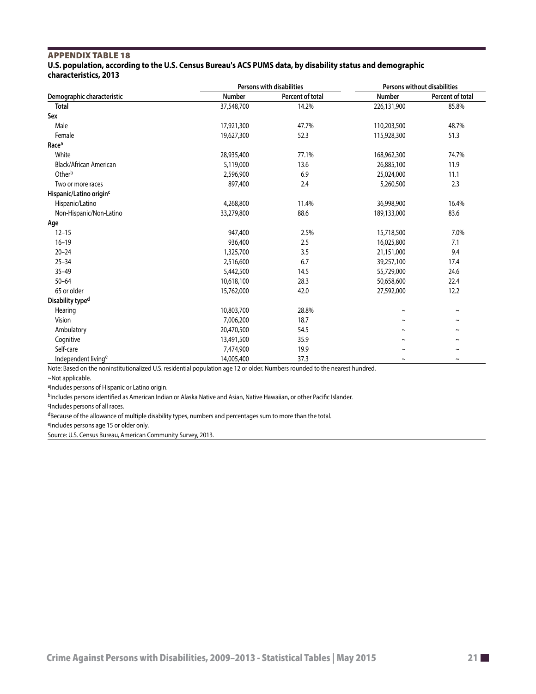#### <span id="page-20-0"></span>Appendix table 18 **U.S. population, according to the U.S. Census Bureau's ACS PUMS data, by disability status and demographic characteristics, 2013**

|                                     |            | <b>Persons with disabilities</b> | Persons without disabilities |                       |  |
|-------------------------------------|------------|----------------------------------|------------------------------|-----------------------|--|
| Demographic characteristic          | Number     | Percent of total                 | Number                       | Percent of total      |  |
| <b>Total</b>                        | 37,548,700 | 14.2%                            | 226,131,900                  | 85.8%                 |  |
| Sex                                 |            |                                  |                              |                       |  |
| Male                                | 17,921,300 | 47.7%                            | 110,203,500                  | 48.7%                 |  |
| Female                              | 19,627,300 | 52.3                             | 115,928,300                  | 51.3                  |  |
| Race <sup>a</sup>                   |            |                                  |                              |                       |  |
| White                               | 28,935,400 | 77.1%                            | 168,962,300                  | 74.7%                 |  |
| Black/African American              | 5,119,000  | 13.6                             | 26,885,100                   | 11.9                  |  |
| Otherb                              | 2,596,900  | 6.9                              | 25,024,000                   | 11.1                  |  |
| Two or more races                   | 897,400    | 2.4                              | 5,260,500                    | 2.3                   |  |
| Hispanic/Latino origin <sup>c</sup> |            |                                  |                              |                       |  |
| Hispanic/Latino                     | 4,268,800  | 11.4%                            | 36,998,900                   | 16.4%                 |  |
| Non-Hispanic/Non-Latino             | 33,279,800 | 88.6                             | 189,133,000                  | 83.6                  |  |
| Age                                 |            |                                  |                              |                       |  |
| $12 - 15$                           | 947,400    | 2.5%                             | 15,718,500                   | 7.0%                  |  |
| $16 - 19$                           | 936,400    | 2.5                              | 16,025,800                   | 7.1                   |  |
| $20 - 24$                           | 1,325,700  | 3.5                              | 21,151,000                   | 9.4                   |  |
| $25 - 34$                           | 2,516,600  | 6.7                              | 39,257,100                   | 17.4                  |  |
| $35 - 49$                           | 5,442,500  | 14.5                             | 55,729,000                   | 24.6                  |  |
| $50 - 64$                           | 10,618,100 | 28.3                             | 50,658,600                   | 22.4                  |  |
| 65 or older                         | 15,762,000 | 42.0                             | 27,592,000                   | 12.2                  |  |
| Disability type <sup>d</sup>        |            |                                  |                              |                       |  |
| Hearing                             | 10,803,700 | 28.8%                            | $\sim$                       | $\sim$                |  |
| Vision                              | 7,006,200  | 18.7                             | $\tilde{\phantom{a}}$        | $\tilde{}$            |  |
| Ambulatory                          | 20,470,500 | 54.5                             | $\tilde{\phantom{a}}$        | $\tilde{\phantom{a}}$ |  |
| Cognitive                           | 13,491,500 | 35.9                             | $\sim$                       | $\tilde{\phantom{a}}$ |  |
| Self-care                           | 7,474,900  | 19.9                             | $\tilde{\phantom{a}}$        | $\sim$                |  |
| Independent living <sup>e</sup>     | 14,005,400 | 37.3                             | $\sim$                       | $\tilde{\phantom{a}}$ |  |

Note: Based on the noninstitutionalized U.S. residential population age 12 or older. Numbers rounded to the nearest hundred.

~Not applicable.

aIncludes persons of Hispanic or Latino origin.

bIncludes persons identified as American Indian or Alaska Native and Asian, Native Hawaiian, or other Pacific Islander.

cIncludes persons of all races.

dBecause of the allowance of multiple disability types, numbers and percentages sum to more than the total.

eIncludes persons age 15 or older only.

Source: U.S. Census Bureau, American Community Survey, 2013.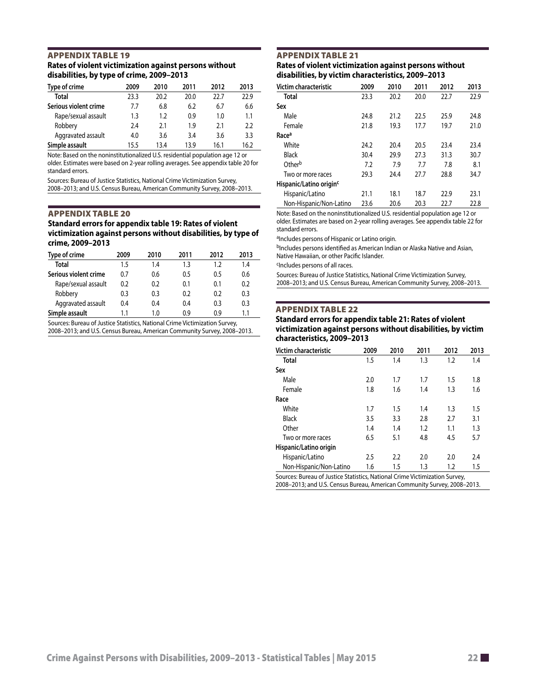#### <span id="page-21-0"></span>Appendix table 19 **Rates of violent victimization against persons without disabilities, by type of crime, 2009–2013**

| Type of crime         | 2009 | 2010 | 2011 | 2012 | 2013 |
|-----------------------|------|------|------|------|------|
| <b>Total</b>          | 23.3 | 20.2 | 20.0 | 22.7 | 22.9 |
| Serious violent crime | 7.7  | 6.8  | 6.2  | 6.7  | 6.6  |
| Rape/sexual assault   | 1.3  | 1.2  | 0.9  | 1.0  | 1.1  |
| Robbery               | 2.4  | 2.1  | 19   | 2.1  | 2.2  |
| Aggravated assault    | 4.0  | 3.6  | 3.4  | 3.6  | 3.3  |
| Simple assault        | 15.5 | 13.4 | 13.9 | 16.1 | 16.2 |

Note: Based on the noninstitutionalized U.S. residential population age 12 or older. Estimates were based on 2-year rolling averages. See appendix table 20 for standard errors.

Sources: Bureau of Justice Statistics, National Crime Victimization Survey, 2008–2013; and U.S. Census Bureau, American Community Survey, 2008–2013.

#### Appendix table 20

**Standard errors for appendix table 19: Rates of violent victimization against persons without disabilities, by type of crime, 2009–2013**

| Type of crime         | 2009 | 2010 | 2011 | 2012 | 2013 |
|-----------------------|------|------|------|------|------|
| <b>Total</b>          | 1.5  | 1.4  | 1.3  | 1.2  | 1.4  |
| Serious violent crime | 0.7  | 0.6  | 0.5  | 0.5  | 0.6  |
| Rape/sexual assault   | 0.2  | 0.2  | 0.1  | 0.1  | 0.2  |
| Robbery               | 0.3  | 0.3  | 0.2  | 0.2  | 0.3  |
| Aggravated assault    | 0.4  | 0.4  | 0.4  | 0.3  | 0.3  |
| Simple assault        |      | 1.0  | 09   | 0 ዓ  | 1.1  |

Sources: Bureau of Justice Statistics, National Crime Victimization Survey, 2008–2013; and U.S. Census Bureau, American Community Survey, 2008–2013.

#### Appendix table 21 **Rates of violent victimization against persons without disabilities, by victim characteristics, 2009–2013**

| Victim characteristic               | 2009 | 2010 | 2011 | 2012 | 2013 |
|-------------------------------------|------|------|------|------|------|
| Total                               | 23.3 | 20.2 | 20.0 | 22.7 | 22.9 |
| Sex                                 |      |      |      |      |      |
| Male                                | 24.8 | 21.2 | 22.5 | 25.9 | 24.8 |
| Female                              | 21.8 | 19.3 | 17.7 | 19.7 | 21.0 |
| Raceª                               |      |      |      |      |      |
| White                               | 24.2 | 20.4 | 20.5 | 23.4 | 23.4 |
| Black                               | 30.4 | 29.9 | 27.3 | 31.3 | 30.7 |
| Otherb                              | 7.2  | 7.9  | 7.7  | 7.8  | 8.1  |
| Two or more races                   | 29.3 | 24.4 | 27.7 | 28.8 | 34.7 |
| Hispanic/Latino origin <sup>c</sup> |      |      |      |      |      |
| Hispanic/Latino                     | 21.1 | 18.1 | 18.7 | 22.9 | 23.1 |
| Non-Hispanic/Non-Latino             | 23.6 | 20.6 | 20.3 | 22.7 | 22.8 |

Note: Based on the noninstitutionalized U.S. residential population age 12 or older. Estimates are based on 2-year rolling averages. See appendix table 22 for standard errors.

aIncludes persons of Hispanic or Latino origin.

bIncludes persons identified as American Indian or Alaska Native and Asian, Native Hawaiian, or other Pacific Islander.

cIncludes persons of all races.

Sources: Bureau of Justice Statistics, National Crime Victimization Survey, 2008–2013; and U.S. Census Bureau, American Community Survey, 2008–2013.

#### Appendix table 22

#### **Standard errors for appendix table 21: Rates of violent victimization against persons without disabilities, by victim characteristics, 2009–2013**

| Victim characteristic                                                       | 2009 | 2010 | 2011 | 2012 | 2013 |
|-----------------------------------------------------------------------------|------|------|------|------|------|
| <b>Total</b>                                                                | 1.5  | 1.4  | 1.3  | 1.2  | 1.4  |
| Sex                                                                         |      |      |      |      |      |
| Male                                                                        | 2.0  | 1.7  | 1.7  | 1.5  | 1.8  |
| Female                                                                      | 1.8  | 1.6  | 1.4  | 1.3  | 1.6  |
| Race                                                                        |      |      |      |      |      |
| White                                                                       | 1.7  | 1.5  | 1.4  | 1.3  | 1.5  |
| <b>Black</b>                                                                | 3.5  | 3.3  | 2.8  | 2.7  | 3.1  |
| Other                                                                       | 1.4  | 1.4  | 1.2  | 1.1  | 1.3  |
| Two or more races                                                           | 6.5  | 5.1  | 4.8  | 4.5  | 5.7  |
| Hispanic/Latino origin                                                      |      |      |      |      |      |
| Hispanic/Latino                                                             | 2.5  | 2.2  | 2.0  | 2.0  | 2.4  |
| Non-Hispanic/Non-Latino                                                     | 1.6  | 1.5  | 1.3  | 1.2  | 1.5  |
| Sources: Bureau of Justice Statistics, National Crime Victimization Survey, |      |      |      |      |      |

2008–2013; and U.S. Census Bureau, American Community Survey, 2008–2013.